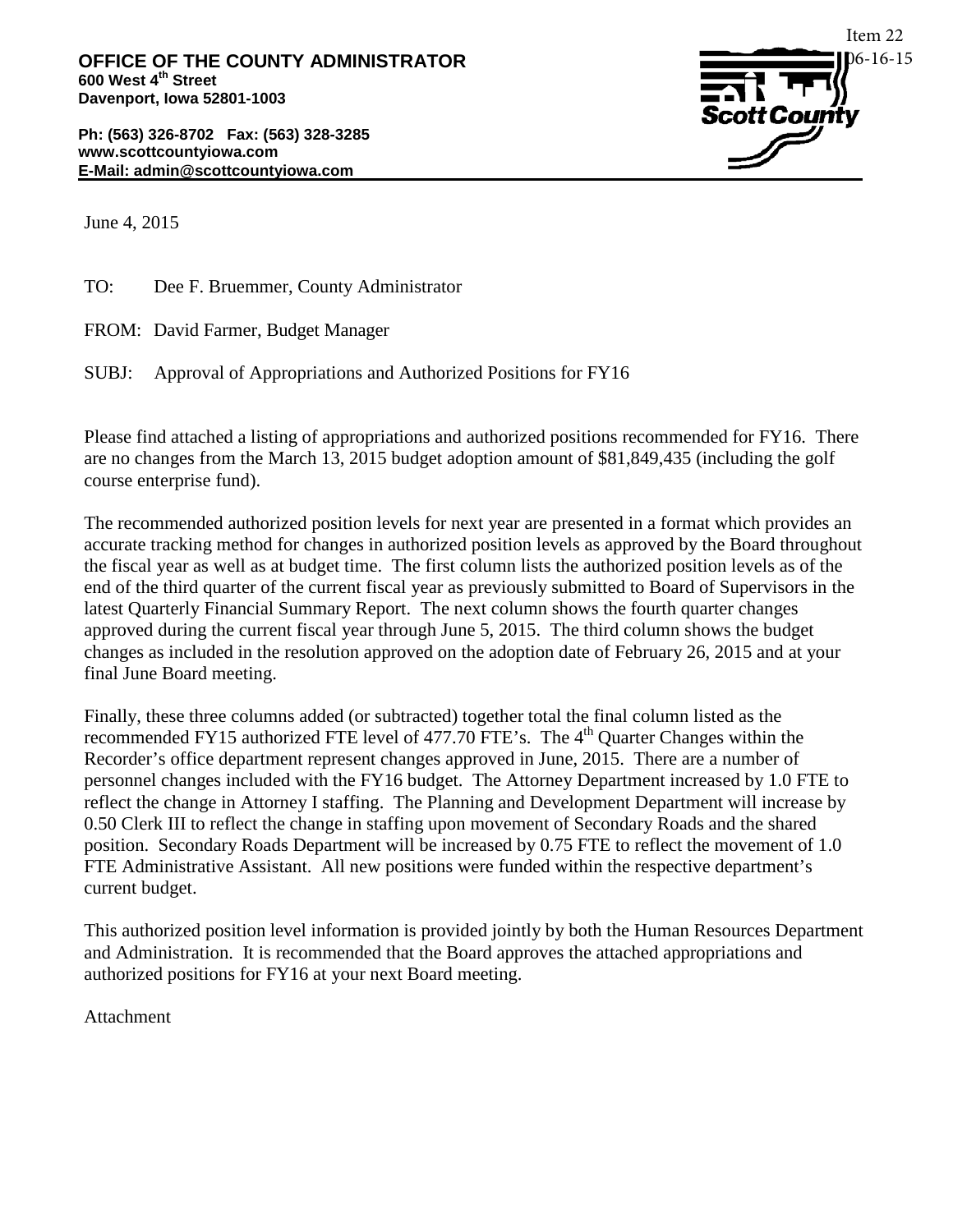**Ph: (563) 326-8702 Fax: (563) 328-3285 www.scottcountyiowa.com E-Mail: admin@scottcountyiowa.com**



June 4, 2015

TO: Dee F. Bruemmer, County Administrator

FROM: David Farmer, Budget Manager

SUBJ: Approval of Appropriations and Authorized Positions for FY16

Please find attached a listing of appropriations and authorized positions recommended for FY16. There are no changes from the March 13, 2015 budget adoption amount of \$81,849,435 (including the golf course enterprise fund).

The recommended authorized position levels for next year are presented in a format which provides an accurate tracking method for changes in authorized position levels as approved by the Board throughout the fiscal year as well as at budget time. The first column lists the authorized position levels as of the end of the third quarter of the current fiscal year as previously submitted to Board of Supervisors in the latest Quarterly Financial Summary Report. The next column shows the fourth quarter changes approved during the current fiscal year through June 5, 2015. The third column shows the budget changes as included in the resolution approved on the adoption date of February 26, 2015 and at your final June Board meeting.

Finally, these three columns added (or subtracted) together total the final column listed as the recommended FY15 authorized FTE level of 477.70 FTE's. The 4<sup>th</sup> Quarter Changes within the Recorder's office department represent changes approved in June, 2015. There are a number of personnel changes included with the FY16 budget. The Attorney Department increased by 1.0 FTE to reflect the change in Attorney I staffing. The Planning and Development Department will increase by 0.50 Clerk III to reflect the change in staffing upon movement of Secondary Roads and the shared position. Secondary Roads Department will be increased by 0.75 FTE to reflect the movement of 1.0 FTE Administrative Assistant. All new positions were funded within the respective department's current budget.

This authorized position level information is provided jointly by both the Human Resources Department and Administration. It is recommended that the Board approves the attached appropriations and authorized positions for FY16 at your next Board meeting.

Attachment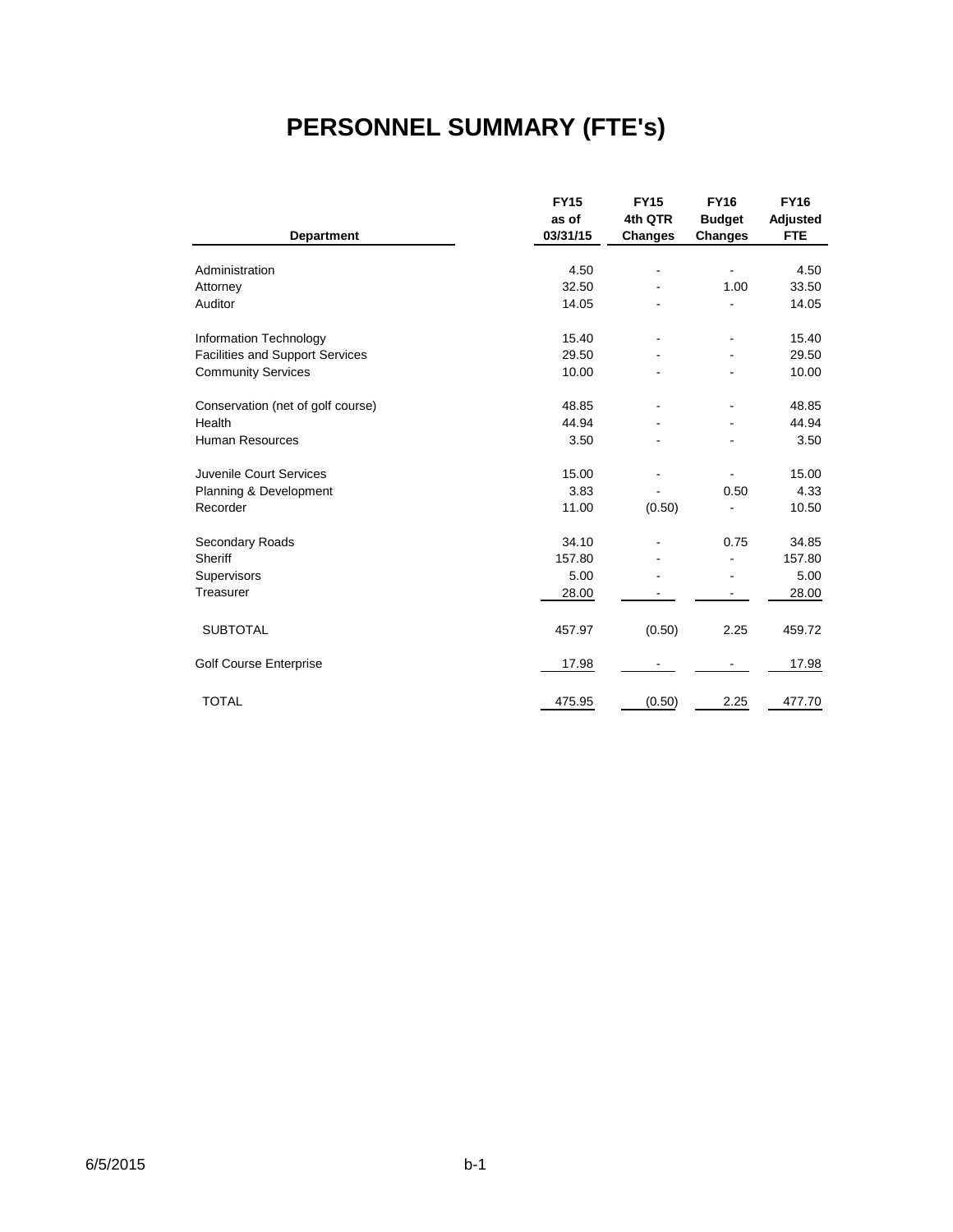# **PERSONNEL SUMMARY (FTE's)**

|                                        | <b>FY15</b> | <b>FY15</b> | <b>FY16</b>    | <b>FY16</b> |
|----------------------------------------|-------------|-------------|----------------|-------------|
|                                        | as of       | 4th QTR     | <b>Budget</b>  | Adjusted    |
| <b>Department</b>                      | 03/31/15    | Changes     | <b>Changes</b> | <b>FTE</b>  |
|                                        |             |             |                |             |
| Administration                         | 4.50        | ٠           |                | 4.50        |
| Attorney                               | 32.50       |             | 1.00           | 33.50       |
| Auditor                                | 14.05       |             |                | 14.05       |
| Information Technology                 | 15.40       |             | ä,             | 15.40       |
| <b>Facilities and Support Services</b> | 29.50       |             |                | 29.50       |
| <b>Community Services</b>              | 10.00       |             |                | 10.00       |
| Conservation (net of golf course)      | 48.85       |             | ä,             | 48.85       |
| Health                                 | 44.94       |             |                | 44.94       |
| <b>Human Resources</b>                 | 3.50        |             |                | 3.50        |
| Juvenile Court Services                | 15.00       |             |                | 15.00       |
| Planning & Development                 | 3.83        |             | 0.50           | 4.33        |
| Recorder                               | 11.00       | (0.50)      |                | 10.50       |
| Secondary Roads                        | 34.10       |             | 0.75           | 34.85       |
| Sheriff                                | 157.80      |             |                | 157.80      |
| Supervisors                            | 5.00        |             |                | 5.00        |
| Treasurer                              | 28.00       |             |                | 28.00       |
| <b>SUBTOTAL</b>                        | 457.97      | (0.50)      | 2.25           | 459.72      |
| Golf Course Enterprise                 | 17.98       |             |                | 17.98       |
| <b>TOTAL</b>                           | 475.95      | (0.50)      | 2.25           | 477.70      |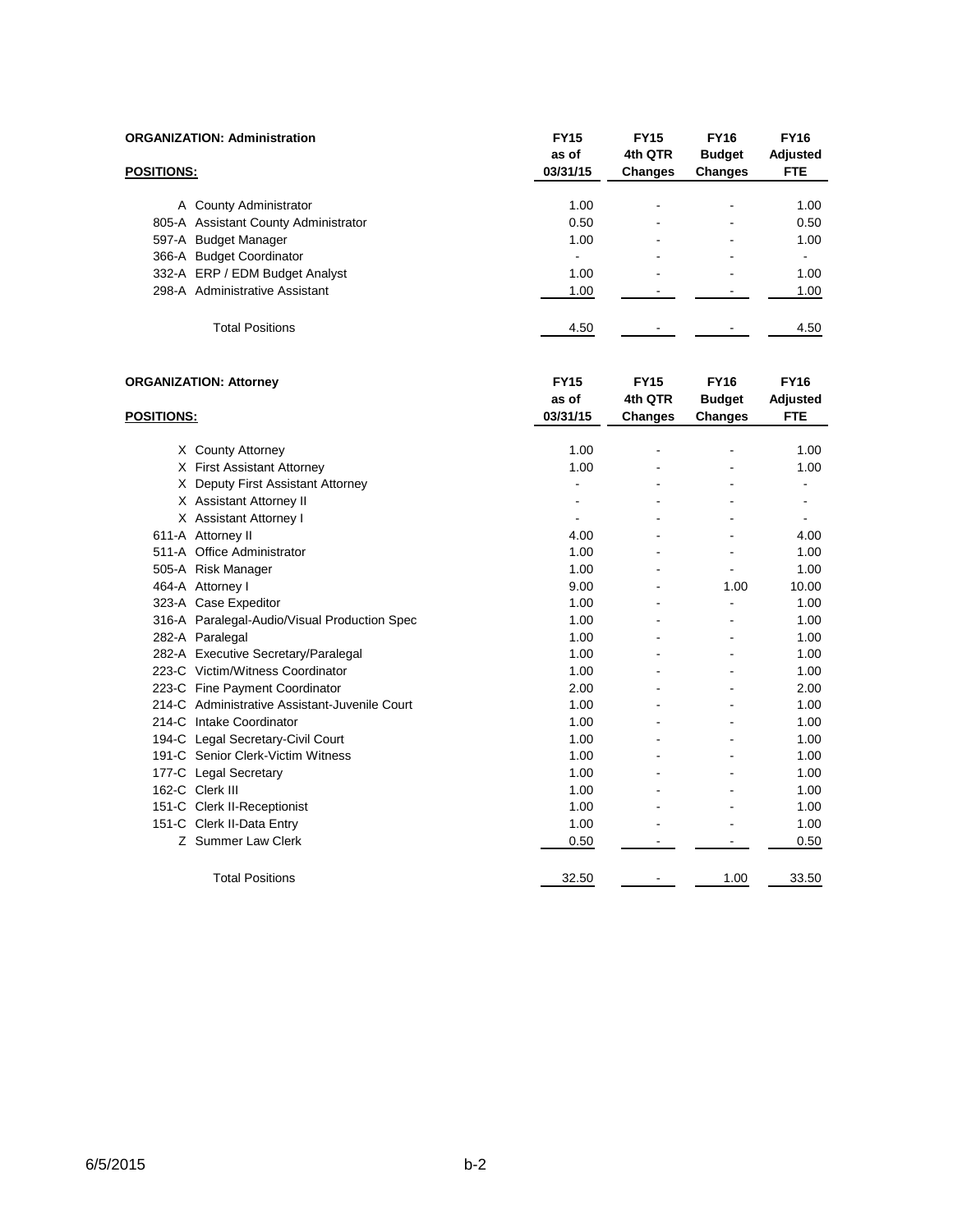| <b>ORGANIZATION: Administration</b> |                                      | <b>FY15</b><br>as of | <b>FY15</b><br>4th QTR | <b>FY16</b><br><b>Budget</b> | <b>FY16</b><br>Adjusted |
|-------------------------------------|--------------------------------------|----------------------|------------------------|------------------------------|-------------------------|
| <b>POSITIONS:</b>                   |                                      | 03/31/15             | <b>Changes</b>         | <b>Changes</b>               | <b>FTE</b>              |
|                                     | A County Administrator               | 1.00                 | -                      | -                            | 1.00                    |
|                                     | 805-A Assistant County Administrator | 0.50                 |                        |                              | 0.50                    |
| 597-A Budget Manager                |                                      | 1.00                 | -                      | -                            | 1.00                    |
| 366-A Budget Coordinator            |                                      | ۰                    | -                      | -                            | $\blacksquare$          |
|                                     | 332-A ERP / EDM Budget Analyst       | 1.00                 | -                      | -                            | 1.00                    |
|                                     | 298-A Administrative Assistant       | 1.00                 |                        |                              | 1.00                    |
|                                     | <b>Total Positions</b>               | 4.50                 |                        |                              | 4.50                    |

| <b>ORGANIZATION: Attorney</b> |                                               | <b>FY15</b> | <b>FY15</b>    | <b>FY16</b>   | <b>FY16</b> |
|-------------------------------|-----------------------------------------------|-------------|----------------|---------------|-------------|
|                               |                                               | as of       | 4th QTR        | <b>Budget</b> | Adjusted    |
| <b>POSITIONS:</b>             |                                               | 03/31/15    | <b>Changes</b> | Changes       | <b>FTE</b>  |
|                               |                                               |             |                |               |             |
|                               | X County Attorney                             | 1.00        |                | ۰             | 1.00        |
|                               | X First Assistant Attorney                    | 1.00        |                |               | 1.00        |
|                               | X Deputy First Assistant Attorney             |             |                |               |             |
|                               | X Assistant Attorney II                       |             |                | ۰             |             |
|                               | X Assistant Attorney I                        |             |                |               |             |
|                               | 611-A Attorney II                             | 4.00        |                |               | 4.00        |
|                               | 511-A Office Administrator                    | 1.00        |                |               | 1.00        |
|                               | 505-A Risk Manager                            | 1.00        |                | ۰             | 1.00        |
|                               | 464-A Attorney I                              | 9.00        |                | 1.00          | 10.00       |
|                               | 323-A Case Expeditor                          | 1.00        |                |               | 1.00        |
|                               | 316-A Paralegal-Audio/Visual Production Spec  | 1.00        |                |               | 1.00        |
|                               | 282-A Paralegal                               | 1.00        |                |               | 1.00        |
|                               | 282-A Executive Secretary/Paralegal           | 1.00        |                | ۰             | 1.00        |
|                               | 223-C Victim/Witness Coordinator              | 1.00        |                |               | 1.00        |
|                               | 223-C Fine Payment Coordinator                | 2.00        |                |               | 2.00        |
|                               | 214-C Administrative Assistant-Juvenile Court | 1.00        |                |               | 1.00        |
|                               | 214-C Intake Coordinator                      | 1.00        |                |               | 1.00        |
|                               | 194-C Legal Secretary-Civil Court             | 1.00        |                |               | 1.00        |
|                               | 191-C Senior Clerk-Victim Witness             | 1.00        |                |               | 1.00        |
|                               | 177-C Legal Secretary                         | 1.00        |                |               | 1.00        |
|                               | 162-C Clerk III                               | 1.00        |                |               | 1.00        |
|                               | 151-C Clerk II-Receptionist                   | 1.00        |                |               | 1.00        |
|                               | 151-C Clerk II-Data Entry                     | 1.00        |                |               | 1.00        |
|                               | Z Summer Law Clerk                            | 0.50        |                |               | 0.50        |
|                               | <b>Total Positions</b>                        | 32.50       |                | 1.00          | 33.50       |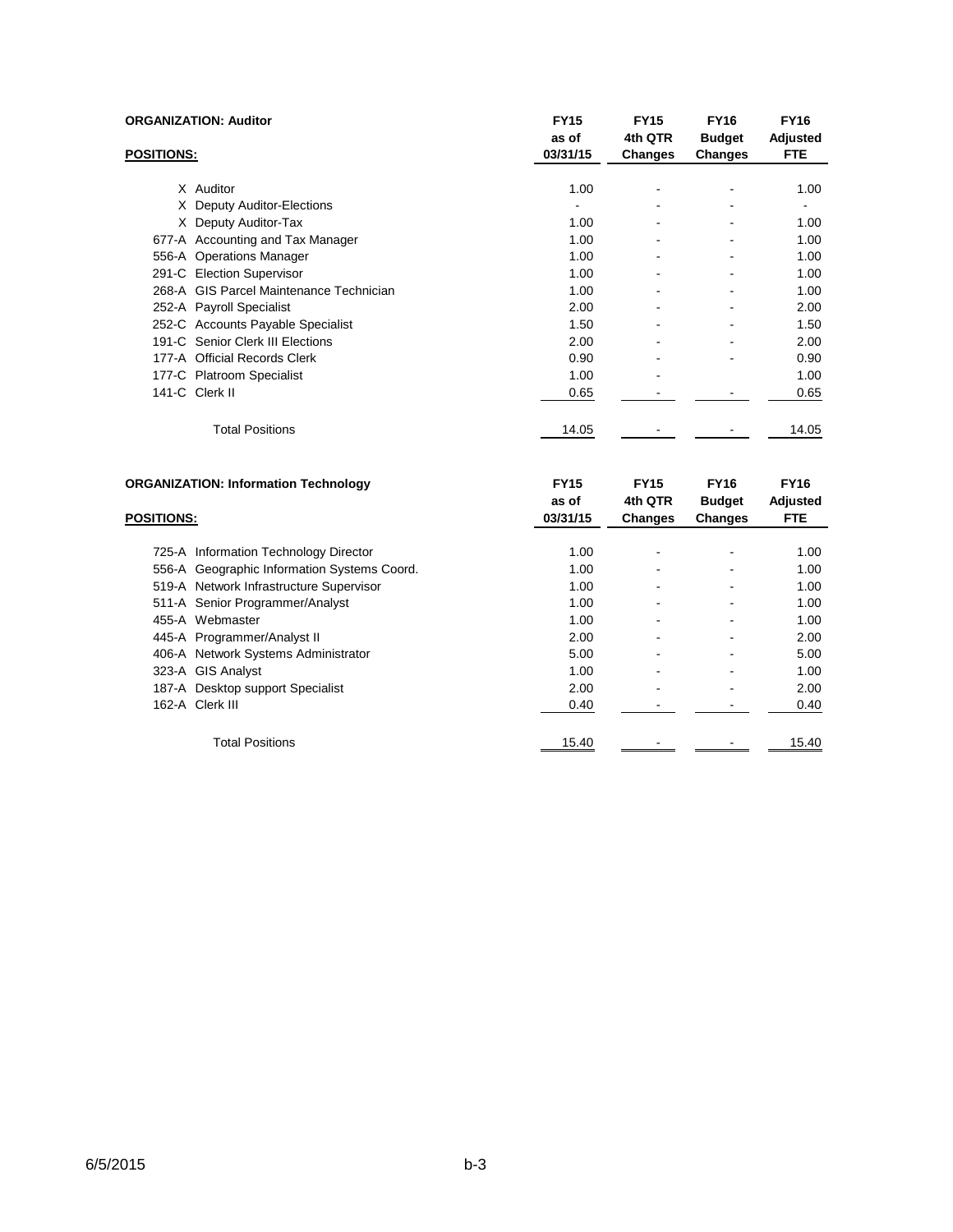|                   | <b>ORGANIZATION: Auditor</b>                | <b>FY15</b><br>as of | <b>FY15</b><br>4th QTR | <b>FY16</b><br><b>Budget</b> | <b>FY16</b><br>Adjusted |
|-------------------|---------------------------------------------|----------------------|------------------------|------------------------------|-------------------------|
| <b>POSITIONS:</b> |                                             | 03/31/15             | Changes                | Changes                      | <b>FTE</b>              |
|                   |                                             |                      |                        |                              |                         |
|                   | X Auditor                                   | 1.00                 |                        | ۰                            | 1.00                    |
|                   | X Deputy Auditor-Elections                  |                      |                        | ٠                            |                         |
|                   | X Deputy Auditor-Tax                        | 1.00                 |                        | ۰                            | 1.00                    |
|                   | 677-A Accounting and Tax Manager            | 1.00                 |                        |                              | 1.00                    |
|                   | 556-A Operations Manager                    | 1.00                 |                        | ٠                            | 1.00                    |
|                   | 291-C Election Supervisor                   | 1.00                 |                        | ۰                            | 1.00                    |
|                   | 268-A GIS Parcel Maintenance Technician     | 1.00                 |                        |                              | 1.00                    |
|                   | 252-A Payroll Specialist                    | 2.00                 |                        |                              | 2.00                    |
|                   | 252-C Accounts Payable Specialist           | 1.50                 |                        | ۰                            | 1.50                    |
|                   | 191-C Senior Clerk III Elections            | 2.00                 |                        | ٠                            | 2.00                    |
|                   | 177-A Official Records Clerk                | 0.90                 |                        | ۰                            | 0.90                    |
|                   | 177-C Platroom Specialist                   | 1.00                 |                        |                              | 1.00                    |
|                   | 141-C Clerk II                              | 0.65                 |                        |                              | 0.65                    |
|                   | <b>Total Positions</b>                      | 14.05                |                        |                              | 14.05                   |
|                   | <b>ORGANIZATION: Information Technology</b> | <b>FY15</b>          | <b>FY15</b>            | <b>FY16</b>                  | <b>FY16</b>             |

| ORGANIZATION: Information Technology        | F Y 15   | <b>FY15</b>    | <b>FY16</b>    | <b>FY16</b> |
|---------------------------------------------|----------|----------------|----------------|-------------|
|                                             | as of    | 4th QTR        | <b>Budget</b>  | Adjusted    |
| <b>POSITIONS:</b>                           | 03/31/15 | <b>Changes</b> | <b>Changes</b> | <b>FTE</b>  |
|                                             |          |                |                |             |
| 725-A Information Technology Director       | 1.00     |                |                | 1.00        |
| 556-A Geographic Information Systems Coord. | 1.00     |                |                | 1.00        |
| 519-A Network Infrastructure Supervisor     | 1.00     |                |                | 1.00        |
| 511-A Senior Programmer/Analyst             | 1.00     |                |                | 1.00        |
| 455-A Webmaster                             | 1.00     |                |                | 1.00        |
| 445-A Programmer/Analyst II                 | 2.00     |                |                | 2.00        |
| 406-A Network Systems Administrator         | 5.00     |                |                | 5.00        |
| 323-A GIS Analyst                           | 1.00     |                |                | 1.00        |
| 187-A Desktop support Specialist            | 2.00     |                |                | 2.00        |
| 162-A Clerk III                             | 0.40     |                |                | 0.40        |
| <b>Total Positions</b>                      | 15.40    |                |                | 15.40       |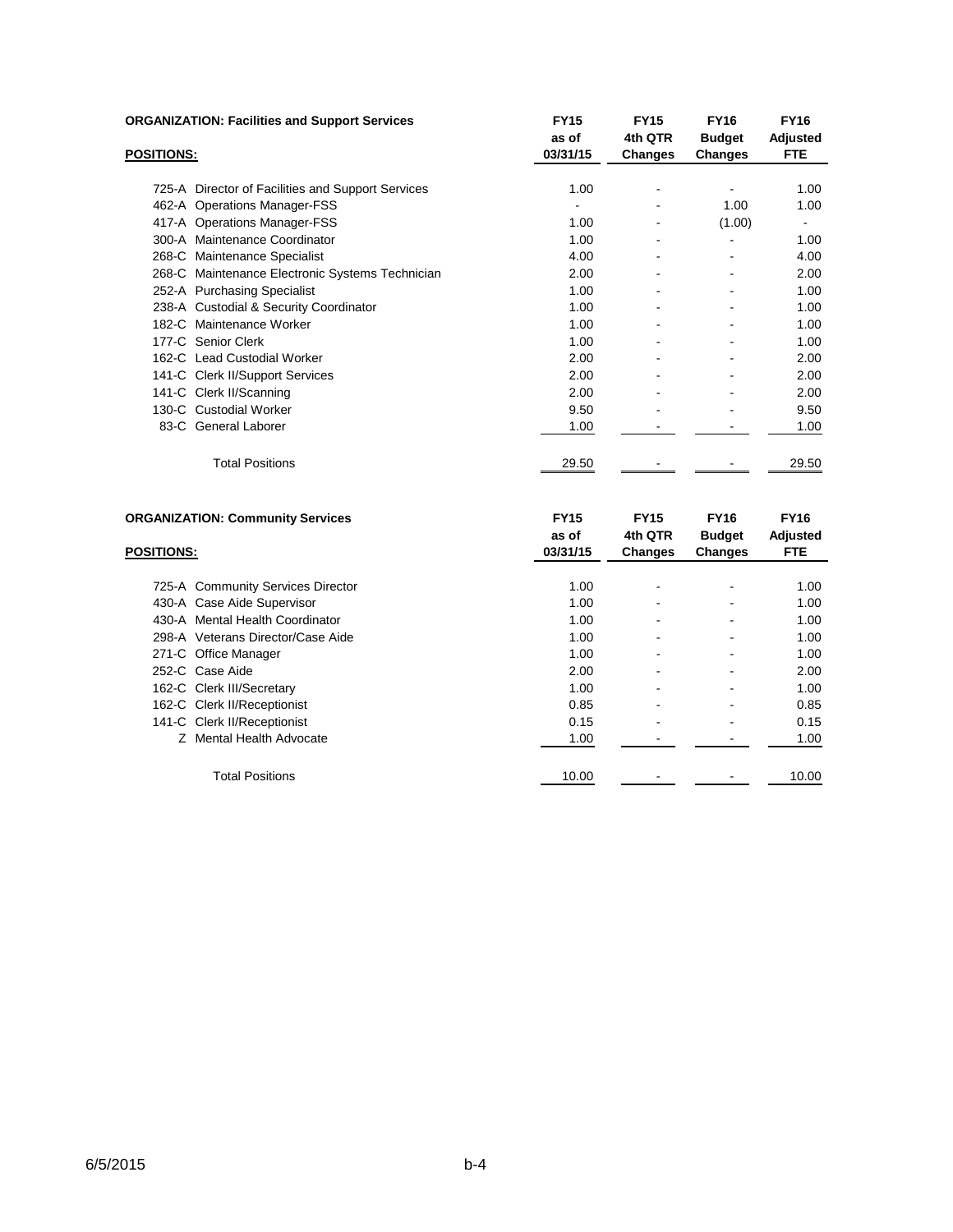|                   | <b>ORGANIZATION: Facilities and Support Services</b> | <b>FY15</b><br>as of | <b>FY15</b><br>4th QTR   | <b>FY16</b><br><b>Budget</b> | <b>FY16</b><br>Adjusted |
|-------------------|------------------------------------------------------|----------------------|--------------------------|------------------------------|-------------------------|
| <b>POSITIONS:</b> |                                                      | 03/31/15             | <b>Changes</b>           | Changes                      | <b>FTE</b>              |
|                   | 725-A Director of Facilities and Support Services    | 1.00                 | $\overline{\phantom{a}}$ | $\overline{a}$               | 1.00                    |
|                   |                                                      |                      |                          | 1.00                         | 1.00                    |
|                   | 462-A Operations Manager-FSS                         |                      | $\overline{\phantom{a}}$ |                              |                         |
|                   | 417-A Operations Manager-FSS                         | 1.00                 | $\overline{\phantom{a}}$ | (1.00)                       | ۰                       |
|                   | 300-A Maintenance Coordinator                        | 1.00                 |                          |                              | 1.00                    |
|                   | 268-C Maintenance Specialist                         | 4.00                 |                          |                              | 4.00                    |
|                   | 268-C Maintenance Electronic Systems Technician      | 2.00                 |                          |                              | 2.00                    |
|                   | 252-A Purchasing Specialist                          | 1.00                 |                          |                              | 1.00                    |
|                   | 238-A Custodial & Security Coordinator               | 1.00                 |                          |                              | 1.00                    |
|                   | 182-C Maintenance Worker                             | 1.00                 |                          |                              | 1.00                    |
|                   | 177-C Senior Clerk                                   | 1.00                 |                          |                              | 1.00                    |
|                   | 162-C Lead Custodial Worker                          | 2.00                 |                          |                              | 2.00                    |
|                   | 141-C Clerk II/Support Services                      | 2.00                 |                          |                              | 2.00                    |
|                   | 141-C Clerk II/Scanning                              | 2.00                 |                          |                              | 2.00                    |
|                   | 130-C Custodial Worker                               | 9.50                 |                          |                              | 9.50                    |
|                   | 83-C General Laborer                                 | 1.00                 |                          |                              | 1.00                    |
|                   | <b>Total Positions</b>                               | 29.50                |                          |                              | 29.50                   |
|                   | <b>ORGANIZATION: Community Services</b>              | <b>FY15</b><br>as of | <b>FY15</b><br>4th QTR   | <b>FY16</b><br><b>Budget</b> | <b>FY16</b><br>Adjusted |

| <b>POSITIONS:</b>                 | 03/31/15 | <b>Changes</b>               | <b>Changes</b> | <b>FTE</b> |
|-----------------------------------|----------|------------------------------|----------------|------------|
|                                   |          |                              |                |            |
| 725-A Community Services Director | 1.00     | ۰                            |                | 1.00       |
| 430-A Case Aide Supervisor        | 1.00     | ۰                            |                | 1.00       |
| 430-A Mental Health Coordinator   | 1.00     | $\qquad \qquad \blacksquare$ | ۰              | 1.00       |
| 298-A Veterans Director/Case Aide | 1.00     | ۰                            |                | 1.00       |
| 271-C Office Manager              | 1.00     | ۰                            | -              | 1.00       |
| 252-C Case Aide                   | 2.00     | ۰                            | -              | 2.00       |
| 162-C Clerk III/Secretary         | 1.00     | ۰                            | ۰              | 1.00       |
| 162-C Clerk II/Receptionist       | 0.85     | ۰                            | ٠              | 0.85       |
| 141-C Clerk II/Receptionist       | 0.15     | ۰                            |                | 0.15       |
| Z Mental Health Advocate          | 1.00     |                              |                | 1.00       |
| <b>Total Positions</b>            | 10.00    |                              |                | 10.00      |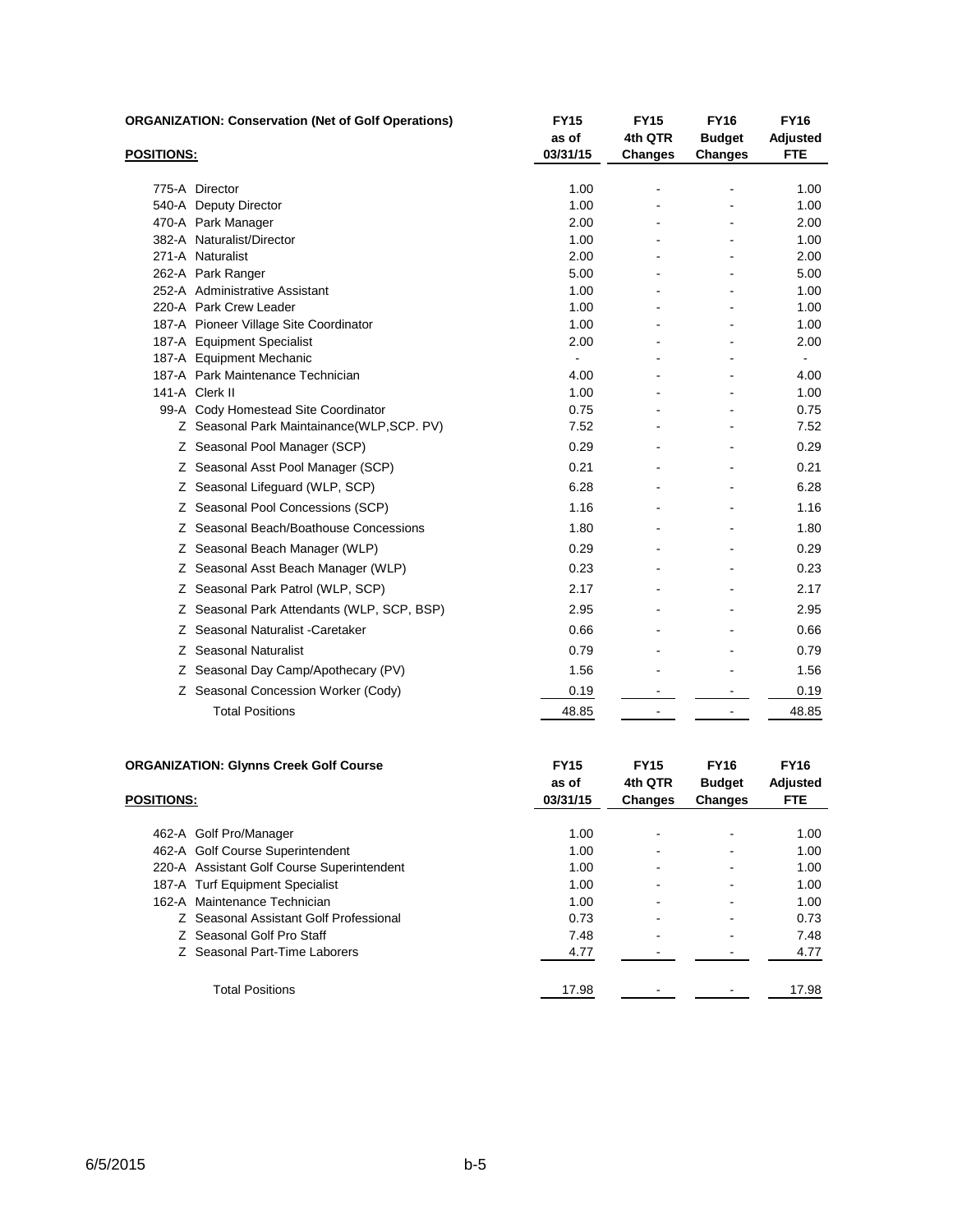|            | <b>ORGANIZATION: Conservation (Net of Golf Operations)</b> | <b>FY15</b><br>as of | <b>FY15</b><br>4th QTR | <b>FY16</b><br><b>Budget</b> | <b>FY16</b><br>Adjusted |
|------------|------------------------------------------------------------|----------------------|------------------------|------------------------------|-------------------------|
| POSITIONS: |                                                            | 03/31/15             | <b>Changes</b>         | <b>Changes</b>               | <b>FTE</b>              |
|            | 775-A Director                                             | 1.00                 |                        |                              | 1.00                    |
|            | 540-A Deputy Director                                      | 1.00                 |                        |                              | 1.00                    |
|            | 470-A Park Manager                                         | 2.00                 |                        |                              | 2.00                    |
|            | 382-A Naturalist/Director                                  | 1.00                 |                        |                              | 1.00                    |
|            | 271-A Naturalist                                           | 2.00                 |                        |                              | 2.00                    |
|            | 262-A Park Ranger                                          | 5.00                 |                        |                              | 5.00                    |
|            | 252-A Administrative Assistant                             | 1.00                 |                        |                              | 1.00                    |
|            | 220-A Park Crew Leader                                     | 1.00                 |                        |                              | 1.00                    |
|            | 187-A Pioneer Village Site Coordinator                     | 1.00                 |                        |                              | 1.00                    |
|            | 187-A Equipment Specialist                                 | 2.00                 |                        |                              | 2.00                    |
|            | 187-A Equipment Mechanic                                   | $\blacksquare$       |                        |                              | $\sim$                  |
|            | 187-A Park Maintenance Technician                          | 4.00                 |                        |                              | 4.00                    |
|            | 141-A Clerk II                                             | 1.00                 |                        |                              | 1.00                    |
|            | 99-A Cody Homestead Site Coordinator                       | 0.75                 |                        |                              | 0.75                    |
|            | Z Seasonal Park Maintainance(WLP, SCP. PV)                 | 7.52                 |                        |                              | 7.52                    |
|            | Z Seasonal Pool Manager (SCP)                              | 0.29                 |                        |                              | 0.29                    |
|            | Z Seasonal Asst Pool Manager (SCP)                         | 0.21                 |                        |                              | 0.21                    |
|            | Z Seasonal Lifeguard (WLP, SCP)                            | 6.28                 |                        |                              | 6.28                    |
|            | Z Seasonal Pool Concessions (SCP)                          | 1.16                 |                        |                              | 1.16                    |
|            | Z Seasonal Beach/Boathouse Concessions                     | 1.80                 |                        |                              | 1.80                    |
|            | Z Seasonal Beach Manager (WLP)                             | 0.29                 |                        |                              | 0.29                    |
|            | Z Seasonal Asst Beach Manager (WLP)                        | 0.23                 |                        |                              | 0.23                    |
|            | Z Seasonal Park Patrol (WLP, SCP)                          | 2.17                 |                        |                              | 2.17                    |
|            | Z Seasonal Park Attendants (WLP, SCP, BSP)                 | 2.95                 |                        |                              | 2.95                    |
|            | Z Seasonal Naturalist - Caretaker                          | 0.66                 |                        |                              | 0.66                    |
|            | Z Seasonal Naturalist                                      | 0.79                 |                        |                              | 0.79                    |
|            | Z Seasonal Day Camp/Apothecary (PV)                        | 1.56                 |                        |                              | 1.56                    |
|            | Z Seasonal Concession Worker (Cody)                        | 0.19                 |                        |                              | 0.19                    |
|            | <b>Total Positions</b>                                     | 48.85                |                        |                              | 48.85                   |
|            |                                                            |                      |                        |                              |                         |
|            | <b>ORGANIZATION: Glynns Creek Golf Course</b>              | <b>FY15</b>          | <b>FY15</b>            | <b>FY16</b>                  | <b>FY16</b>             |

|                   | ORGANIZATION: GIVIIIIS Creek GOIT COUTSE   | гію<br>as of | гнэ<br>4th QTR | FIID<br><b>Budget</b> | <b>FIID</b><br>Adjusted |
|-------------------|--------------------------------------------|--------------|----------------|-----------------------|-------------------------|
| <b>POSITIONS:</b> |                                            | 03/31/15     | <b>Changes</b> | Changes               | <b>FTE</b>              |
|                   | 462-A Golf Pro/Manager                     | 1.00         |                |                       | 1.00                    |
|                   | 462-A Golf Course Superintendent           | 1.00         |                |                       | 1.00                    |
|                   | 220-A Assistant Golf Course Superintendent | 1.00         | ۰              |                       | 1.00                    |
|                   | 187-A Turf Equipment Specialist            | 1.00         | ۰              |                       | 1.00                    |
|                   | 162-A Maintenance Technician               | 1.00         |                |                       | 1.00                    |
|                   | Z Seasonal Assistant Golf Professional     | 0.73         |                |                       | 0.73                    |
|                   | Z Seasonal Golf Pro Staff                  | 7.48         | -              |                       | 7.48                    |
|                   | Z Seasonal Part-Time Laborers              | 4.77         |                |                       | 4.77                    |
|                   | <b>Total Positions</b>                     | 17.98        |                |                       | 17.98                   |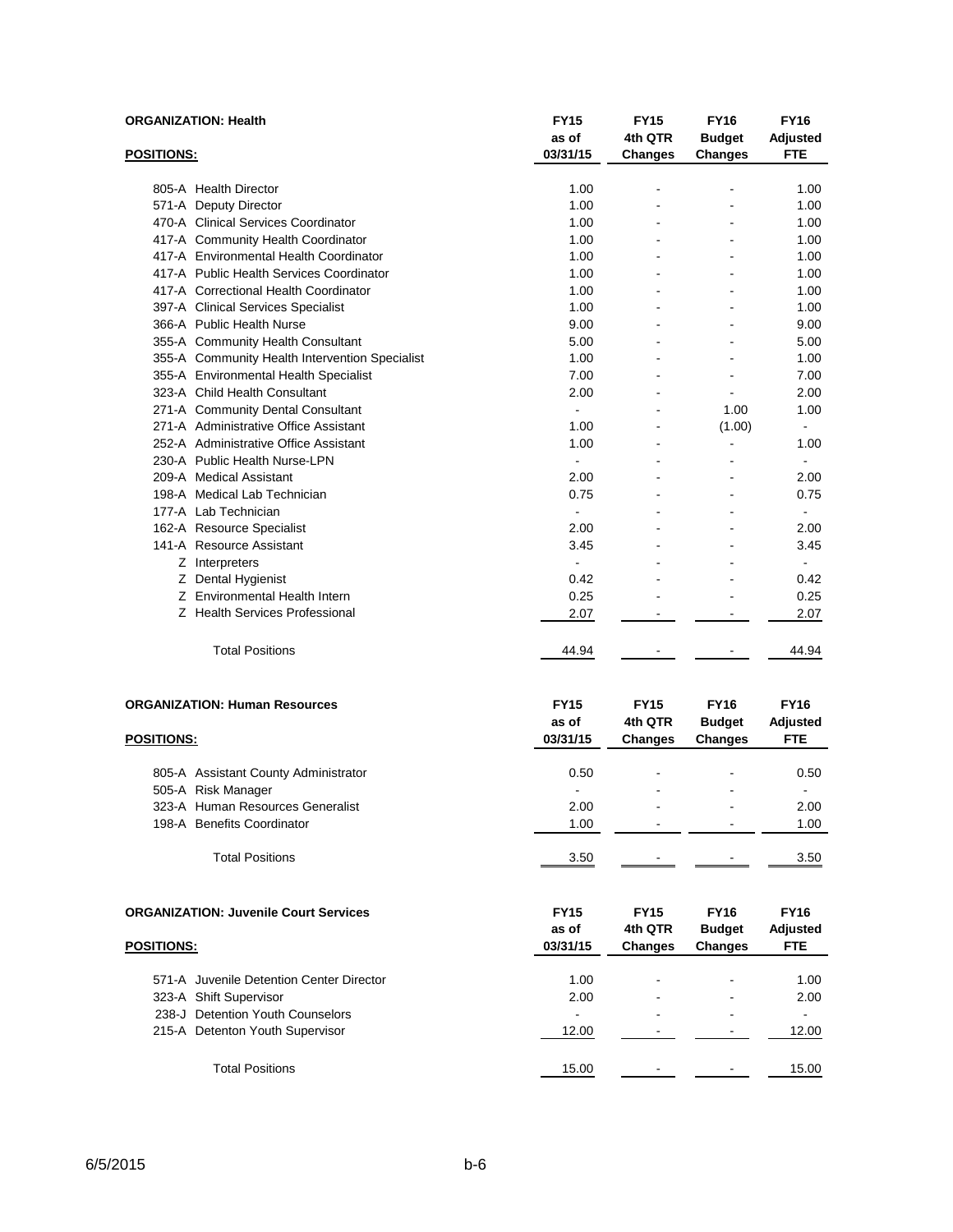| <b>ORGANIZATION: Health</b>                                        | <b>FY15</b><br>as of             | <b>FY15</b><br>4th QTR                   | <b>FY16</b><br><b>Budget</b>                   | <b>FY16</b><br>Adjusted               |
|--------------------------------------------------------------------|----------------------------------|------------------------------------------|------------------------------------------------|---------------------------------------|
| <b>POSITIONS:</b>                                                  | 03/31/15                         | <b>Changes</b>                           | <b>Changes</b>                                 | <b>FTE</b>                            |
| 805-A Health Director                                              | 1.00                             |                                          |                                                | 1.00                                  |
| 571-A Deputy Director                                              | 1.00                             | $\blacksquare$                           |                                                | 1.00                                  |
| 470-A Clinical Services Coordinator                                | 1.00                             |                                          |                                                | 1.00                                  |
| 417-A Community Health Coordinator                                 | 1.00                             |                                          |                                                | 1.00                                  |
| 417-A Environmental Health Coordinator                             | 1.00                             |                                          |                                                | 1.00                                  |
| 417-A Public Health Services Coordinator                           | 1.00                             |                                          |                                                | 1.00                                  |
| 417-A Correctional Health Coordinator                              | 1.00                             |                                          |                                                | 1.00                                  |
| 397-A Clinical Services Specialist                                 | 1.00                             |                                          |                                                | 1.00                                  |
| 366-A Public Health Nurse                                          | 9.00                             |                                          |                                                | 9.00                                  |
| 355-A Community Health Consultant                                  | 5.00                             |                                          |                                                | 5.00                                  |
| 355-A Community Health Intervention Specialist                     | 1.00                             |                                          |                                                | 1.00                                  |
| 355-A Environmental Health Specialist                              | 7.00                             |                                          |                                                | 7.00                                  |
| 323-A Child Health Consultant                                      | 2.00                             | $\blacksquare$                           | $\blacksquare$                                 | 2.00                                  |
| 271-A Community Dental Consultant                                  | $\blacksquare$                   |                                          | 1.00                                           | 1.00                                  |
| 271-A Administrative Office Assistant                              | 1.00                             |                                          | (1.00)                                         | $\blacksquare$                        |
| 252-A Administrative Office Assistant                              | 1.00                             |                                          | ä,                                             | 1.00                                  |
| 230-A Public Health Nurse-LPN                                      | ä,                               |                                          |                                                | $\blacksquare$                        |
| 209-A Medical Assistant                                            | 2.00                             |                                          |                                                | 2.00                                  |
| 198-A Medical Lab Technician                                       | 0.75                             |                                          |                                                | 0.75                                  |
| 177-A Lab Technician                                               | $\blacksquare$                   |                                          |                                                | $\overline{a}$                        |
| 162-A Resource Specialist                                          | 2.00                             |                                          |                                                | 2.00                                  |
| 141-A Resource Assistant                                           | 3.45                             |                                          |                                                | 3.45                                  |
| Z Interpreters                                                     | ä,                               |                                          |                                                | $\overline{a}$                        |
| Z Dental Hygienist                                                 | 0.42                             |                                          |                                                | 0.42                                  |
| Z Environmental Health Intern                                      | 0.25                             |                                          |                                                | 0.25                                  |
| Z Health Services Professional                                     | 2.07                             |                                          |                                                | 2.07                                  |
|                                                                    |                                  |                                          |                                                |                                       |
| <b>Total Positions</b>                                             | 44.94                            |                                          |                                                | 44.94                                 |
| <b>ORGANIZATION: Human Resources</b>                               | <b>FY15</b>                      | <b>FY15</b>                              | <b>FY16</b>                                    | <b>FY16</b>                           |
|                                                                    | as of                            | 4th QTR                                  | <b>Budget</b>                                  | Adjusted                              |
| POSITIONS:                                                         | 03/31/15                         | <b>Changes</b>                           | <b>Changes</b>                                 | <b>FTE</b>                            |
|                                                                    |                                  |                                          |                                                |                                       |
| 805-A Assistant County Administrator                               | 0.50                             |                                          |                                                | 0.50                                  |
| 505-A Risk Manager                                                 |                                  |                                          |                                                | $\blacksquare$                        |
| 323-A Human Resources Generalist                                   | 2.00                             |                                          |                                                | 2.00                                  |
| 198-A Benefits Coordinator                                         | 1.00                             |                                          |                                                | 1.00                                  |
|                                                                    |                                  |                                          |                                                |                                       |
| <b>Total Positions</b>                                             | 3.50                             |                                          |                                                | 3.50                                  |
| <b>ORGANIZATION: Juvenile Court Services</b><br><b>POSITIONS:</b>  | <b>FY15</b><br>as of<br>03/31/15 | <b>FY15</b><br>4th QTR<br><b>Changes</b> | <b>FY16</b><br><b>Budget</b><br><b>Changes</b> | <b>FY16</b><br>Adjusted<br><b>FTE</b> |
|                                                                    |                                  |                                          |                                                |                                       |
| 571-A Juvenile Detention Center Director<br>323-A Shift Supervisor | 1.00<br>2.00                     |                                          |                                                | 1.00<br>2.00                          |

238-J Detention Youth Counselors and the state of the state of the state of the state of the state of the state of the state of the state of the state of the state of the state of the state of the state of the state of the 215-A Detenton Youth Supervisor 215-A Detenton Youth Supervisor 215-A 2.00

Total Positions 15.00 15.00 - 15.00 15.00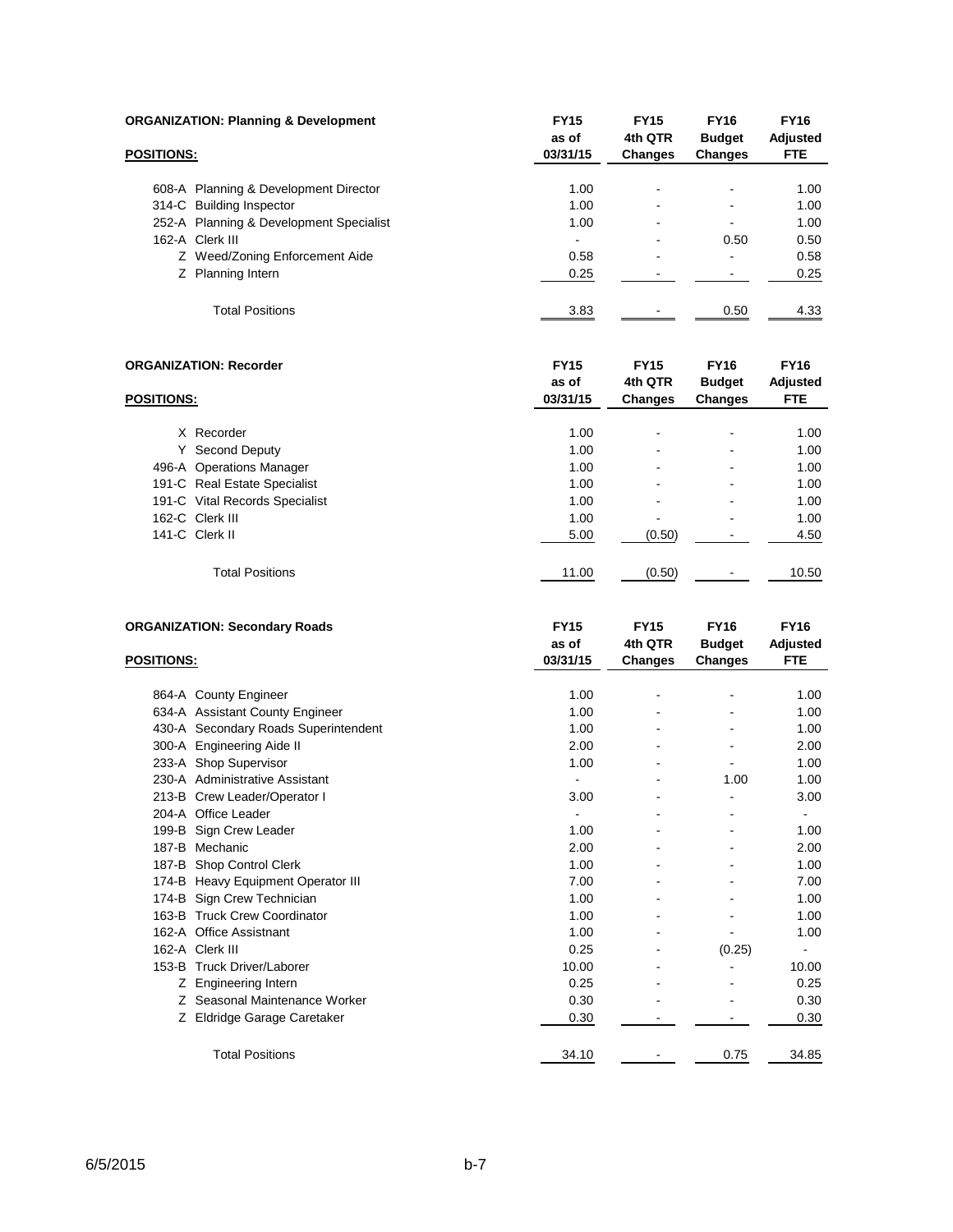| <b>ORGANIZATION: Planning &amp; Development</b> |                                         | <b>FY15</b><br>as of     | <b>FY15</b><br>4th QTR | <b>FY16</b><br><b>Budget</b> | <b>FY16</b><br>Adjusted |
|-------------------------------------------------|-----------------------------------------|--------------------------|------------------------|------------------------------|-------------------------|
| <b>POSITIONS:</b>                               |                                         | 03/31/15                 | <b>Changes</b>         | <b>Changes</b>               | <b>FTE</b>              |
|                                                 | 608-A Planning & Development Director   | 1.00                     |                        |                              | 1.00                    |
|                                                 | 314-C Building Inspector                | 1.00                     |                        |                              | 1.00                    |
|                                                 | 252-A Planning & Development Specialist | 1.00                     | ۰                      |                              | 1.00                    |
|                                                 | 162-A Clerk III                         | $\overline{\phantom{0}}$ | -                      | 0.50                         | 0.50                    |
|                                                 | Z Weed/Zoning Enforcement Aide          | 0.58                     | ۰                      |                              | 0.58                    |
|                                                 | Z Planning Intern                       | 0.25                     |                        |                              | 0.25                    |
|                                                 | <b>Total Positions</b>                  | 3.83                     |                        | 0.50                         | 4.33                    |

| <b>ORGANIZATION: Recorder</b> |                                | <b>FY15</b><br>as of | <b>FY15</b><br>4th QTR | <b>FY16</b><br><b>Budget</b> | <b>FY16</b><br>Adjusted |
|-------------------------------|--------------------------------|----------------------|------------------------|------------------------------|-------------------------|
| <b>POSITIONS:</b>             |                                | 03/31/15             | <b>Changes</b>         | Changes                      | <b>FTE</b>              |
|                               | X Recorder                     | 1.00                 |                        |                              | 1.00                    |
| Y.                            | Second Deputy                  | 1.00                 |                        | $\overline{\phantom{0}}$     | 1.00                    |
|                               | 496-A Operations Manager       | 1.00                 |                        | $\overline{\phantom{a}}$     | 1.00                    |
|                               | 191-C Real Estate Specialist   | 1.00                 |                        |                              | 1.00                    |
|                               | 191-C Vital Records Specialist | 1.00                 |                        |                              | 1.00                    |
|                               | 162-C Clerk III                | 1.00                 |                        | $\overline{\phantom{a}}$     | 1.00                    |
|                               | 141-C Clerk II                 | 5.00                 | (0.50)                 |                              | 4.50                    |
|                               | <b>Total Positions</b>         | 11.00                | (0.50)                 |                              | 10.50                   |

|                   | <b>ORGANIZATION: Secondary Roads</b> | <b>FY15</b> | <b>FY15</b> | <b>FY16</b>   | <b>FY16</b> |
|-------------------|--------------------------------------|-------------|-------------|---------------|-------------|
|                   |                                      | as of       | 4th QTR     | <b>Budget</b> | Adjusted    |
| <b>POSITIONS:</b> |                                      | 03/31/15    | Changes     | Changes       | <b>FTE</b>  |
|                   |                                      |             |             |               |             |
|                   | 864-A County Engineer                | 1.00        |             |               | 1.00        |
|                   | 634-A Assistant County Engineer      | 1.00        |             |               | 1.00        |
|                   | 430-A Secondary Roads Superintendent | 1.00        |             |               | 1.00        |
|                   | 300-A Engineering Aide II            | 2.00        |             |               | 2.00        |
|                   | 233-A Shop Supervisor                | 1.00        |             |               | 1.00        |
|                   | 230-A Administrative Assistant       |             |             | 1.00          | 1.00        |
|                   | 213-B Crew Leader/Operator I         | 3.00        |             |               | 3.00        |
|                   | 204-A Office Leader                  |             |             |               | ۰           |
|                   | 199-B Sign Crew Leader               | 1.00        |             |               | 1.00        |
|                   | 187-B Mechanic                       | 2.00        |             |               | 2.00        |
|                   | 187-B Shop Control Clerk             | 1.00        |             |               | 1.00        |
|                   | 174-B Heavy Equipment Operator III   | 7.00        |             |               | 7.00        |
|                   | 174-B Sign Crew Technician           | 1.00        |             |               | 1.00        |
|                   | 163-B Truck Crew Coordinator         | 1.00        |             |               | 1.00        |
|                   | 162-A Office Assistnant              | 1.00        |             |               | 1.00        |
|                   | 162-A Clerk III                      | 0.25        |             | (0.25)        |             |
|                   | 153-B Truck Driver/Laborer           | 10.00       |             |               | 10.00       |
| Z.                | Engineering Intern                   | 0.25        |             |               | 0.25        |
| Z.                | Seasonal Maintenance Worker          | 0.30        |             |               | 0.30        |
|                   | Eldridge Garage Caretaker            | 0.30        |             |               | 0.30        |
|                   |                                      |             |             |               |             |
|                   | <b>Total Positions</b>               | 34.10       |             | 0.75          | 34.85       |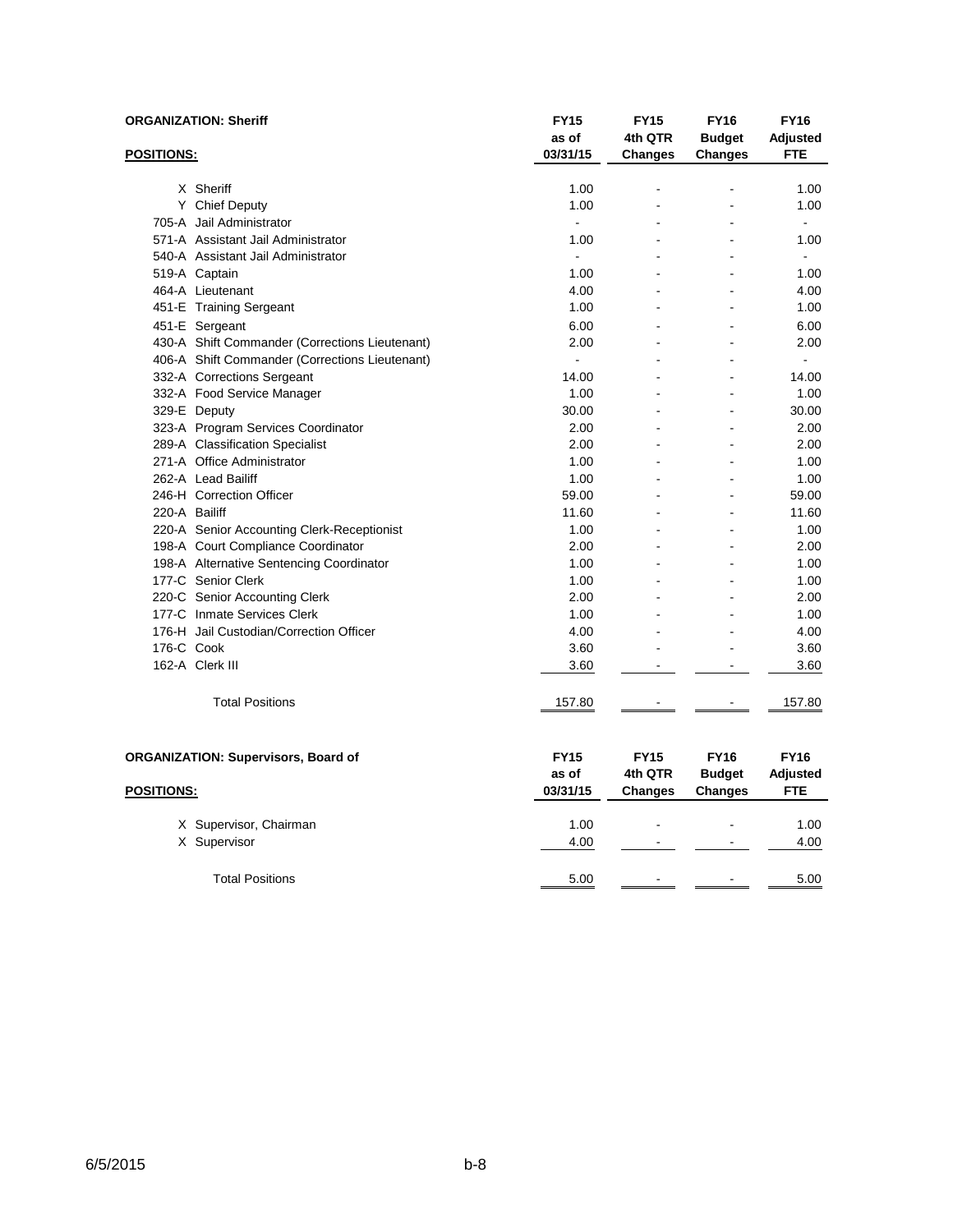|                   | <b>ORGANIZATION: Sheriff</b>                   | <b>FY15</b><br>as of             | <b>FY15</b><br>4th QTR                   | <b>FY16</b><br><b>Budget</b>            | <b>FY16</b><br>Adjusted               |
|-------------------|------------------------------------------------|----------------------------------|------------------------------------------|-----------------------------------------|---------------------------------------|
| <u>POSITIONS:</u> |                                                | 03/31/15                         | <b>Changes</b>                           | <b>Changes</b>                          | <b>FTE</b>                            |
|                   | X Sheriff                                      | 1.00                             |                                          |                                         | 1.00                                  |
|                   | Y Chief Deputy                                 | 1.00                             |                                          |                                         | 1.00                                  |
|                   | 705-A Jail Administrator                       | $\overline{a}$                   |                                          |                                         | $\overline{a}$                        |
|                   | 571-A Assistant Jail Administrator             | 1.00                             |                                          |                                         | 1.00                                  |
|                   | 540-A Assistant Jail Administrator             | $\overline{a}$                   |                                          |                                         | $\sim$                                |
|                   | 519-A Captain                                  | 1.00                             |                                          |                                         | 1.00                                  |
|                   | 464-A Lieutenant                               | 4.00                             |                                          |                                         | 4.00                                  |
|                   | 451-E Training Sergeant                        | 1.00                             |                                          |                                         | 1.00                                  |
|                   | 451-E Sergeant                                 | 6.00                             |                                          |                                         | 6.00                                  |
|                   | 430-A Shift Commander (Corrections Lieutenant) | 2.00                             |                                          |                                         | 2.00                                  |
|                   | 406-A Shift Commander (Corrections Lieutenant) | $\blacksquare$                   |                                          |                                         | $\blacksquare$                        |
|                   | 332-A Corrections Sergeant                     | 14.00                            |                                          |                                         | 14.00                                 |
|                   | 332-A Food Service Manager                     | 1.00                             |                                          |                                         | 1.00                                  |
|                   | 329-E Deputy                                   | 30.00                            |                                          |                                         | 30.00                                 |
|                   | 323-A Program Services Coordinator             | 2.00                             |                                          |                                         | 2.00                                  |
|                   | 289-A Classification Specialist                | 2.00                             |                                          |                                         | 2.00                                  |
|                   | 271-A Office Administrator                     | 1.00                             |                                          |                                         | 1.00                                  |
|                   | 262-A Lead Bailiff                             | 1.00                             |                                          |                                         | 1.00                                  |
|                   | 246-H Correction Officer                       | 59.00                            |                                          | ۳                                       | 59.00                                 |
| 220-A Bailiff     |                                                | 11.60                            |                                          |                                         | 11.60                                 |
|                   | 220-A Senior Accounting Clerk-Receptionist     | 1.00                             |                                          |                                         | 1.00                                  |
|                   | 198-A Court Compliance Coordinator             | 2.00                             |                                          |                                         | 2.00                                  |
|                   | 198-A Alternative Sentencing Coordinator       | 1.00                             |                                          |                                         | 1.00                                  |
|                   | 177-C Senior Clerk                             | 1.00                             |                                          |                                         | 1.00                                  |
|                   | 220-C Senior Accounting Clerk                  | 2.00                             |                                          |                                         | 2.00                                  |
|                   | 177-C Inmate Services Clerk                    | 1.00                             |                                          |                                         | 1.00                                  |
|                   | 176-H Jail Custodian/Correction Officer        | 4.00                             |                                          |                                         | 4.00                                  |
| 176-C Cook        |                                                | 3.60                             |                                          |                                         | 3.60                                  |
|                   | 162-A Clerk III                                | 3.60                             |                                          |                                         | 3.60                                  |
|                   | <b>Total Positions</b>                         | 157.80                           |                                          |                                         | 157.80                                |
| <b>POSITIONS:</b> | <b>ORGANIZATION: Supervisors, Board of</b>     | <b>FY15</b><br>as of<br>03/31/15 | <b>FY15</b><br>4th QTR<br><b>Changes</b> | <b>FY16</b><br><b>Budget</b><br>Changes | <b>FY16</b><br>Adjusted<br><b>FTE</b> |
|                   |                                                |                                  |                                          |                                         |                                       |
|                   | X Supervisor, Chairman                         | 1.00                             |                                          |                                         | 1.00                                  |
|                   | X Supervisor                                   | 4.00                             |                                          |                                         | 4.00                                  |
|                   | <b>Total Positions</b>                         | 5.00                             | $\blacksquare$                           |                                         | 5.00                                  |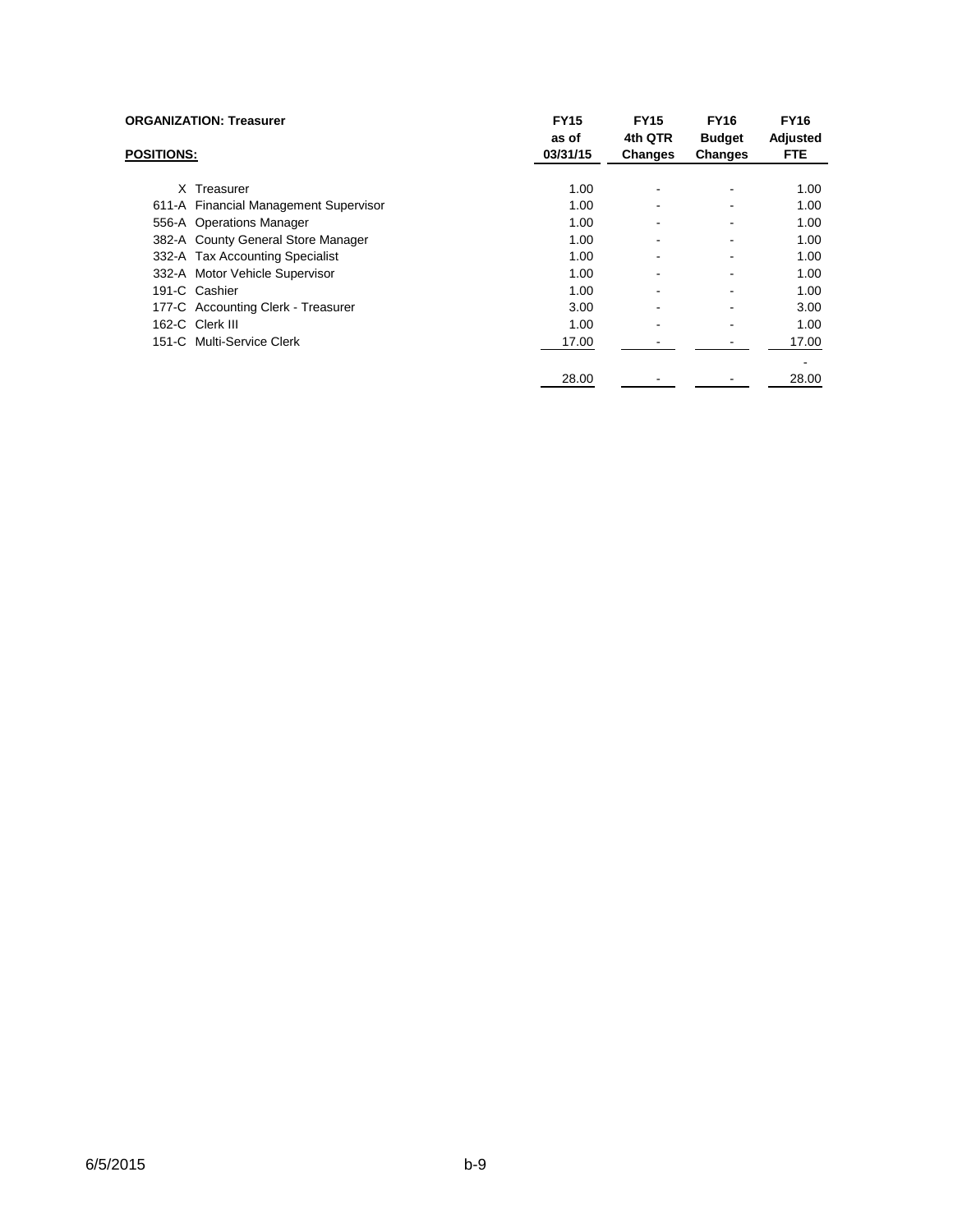|                   | <b>ORGANIZATION: Treasurer</b>        | <b>FY15</b><br>as of | <b>FY15</b><br>4th QTR | <b>FY16</b><br><b>Budget</b> | <b>FY16</b><br>Adjusted |
|-------------------|---------------------------------------|----------------------|------------------------|------------------------------|-------------------------|
| <b>POSITIONS:</b> |                                       | 03/31/15             | <b>Changes</b>         | <b>Changes</b>               | <b>FTE</b>              |
|                   | X Treasurer                           | 1.00                 |                        |                              | 1.00                    |
|                   | 611-A Financial Management Supervisor | 1.00                 |                        |                              | 1.00                    |
|                   | 556-A Operations Manager              | 1.00                 |                        |                              | 1.00                    |
|                   | 382-A County General Store Manager    | 1.00                 |                        |                              | 1.00                    |
|                   | 332-A Tax Accounting Specialist       | 1.00                 |                        |                              | 1.00                    |
|                   | 332-A Motor Vehicle Supervisor        | 1.00                 |                        |                              | 1.00                    |
|                   | 191-C Cashier                         | 1.00                 |                        |                              | 1.00                    |
|                   | 177-C Accounting Clerk - Treasurer    | 3.00                 |                        |                              | 3.00                    |
|                   | 162-C Clerk III                       | 1.00                 |                        |                              | 1.00                    |
|                   | 151-C Multi-Service Clerk             | 17.00                |                        |                              | 17.00                   |
|                   |                                       | 28.00                |                        |                              | 28.00                   |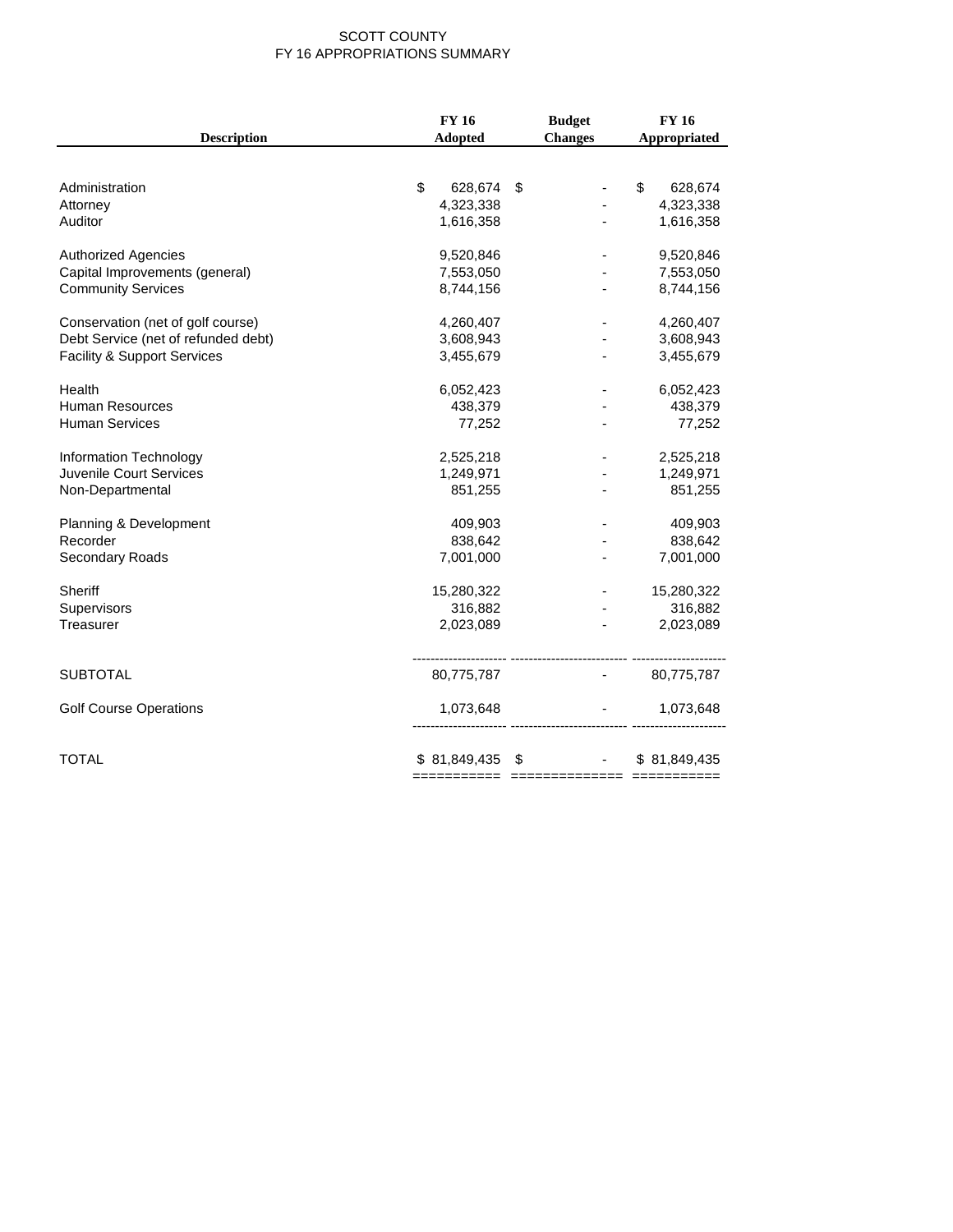#### SCOTT COUNTY FY 16 APPROPRIATIONS SUMMARY

|                                        | <b>FY 16</b>     | <b>Budget</b>                     | <b>FY 16</b>  |
|----------------------------------------|------------------|-----------------------------------|---------------|
| <b>Description</b>                     | Adopted          | <b>Changes</b>                    | Appropriated  |
|                                        |                  |                                   |               |
| Administration                         | \$<br>628,674    | \$                                | \$<br>628,674 |
| Attorney                               | 4,323,338        |                                   | 4,323,338     |
| Auditor                                | 1,616,358        |                                   | 1,616,358     |
| <b>Authorized Agencies</b>             | 9,520,846        |                                   | 9,520,846     |
| Capital Improvements (general)         | 7,553,050        |                                   | 7,553,050     |
| <b>Community Services</b>              | 8,744,156        | $\overline{\phantom{a}}$          | 8,744,156     |
| Conservation (net of golf course)      | 4,260,407        |                                   | 4,260,407     |
| Debt Service (net of refunded debt)    | 3,608,943        |                                   | 3,608,943     |
| <b>Facility &amp; Support Services</b> | 3,455,679        |                                   | 3,455,679     |
| Health                                 | 6,052,423        |                                   | 6,052,423     |
| <b>Human Resources</b>                 | 438,379          |                                   | 438,379       |
| <b>Human Services</b>                  | 77,252           |                                   | 77,252        |
| Information Technology                 | 2,525,218        |                                   | 2,525,218     |
| Juvenile Court Services                | 1,249,971        |                                   | 1,249,971     |
| Non-Departmental                       | 851,255          |                                   | 851,255       |
| Planning & Development                 | 409,903          |                                   | 409,903       |
| Recorder                               | 838,642          |                                   | 838,642       |
| Secondary Roads                        | 7,001,000        |                                   | 7,001,000     |
| Sheriff                                | 15,280,322       |                                   | 15,280,322    |
| Supervisors                            | 316,882          |                                   | 316,882       |
| Treasurer                              | 2,023,089        |                                   | 2,023,089     |
| <b>SUBTOTAL</b>                        | 80,775,787       |                                   | $-80,775,787$ |
|                                        |                  |                                   |               |
| <b>Golf Course Operations</b>          | 1,073,648        | -------------------------- ------ | 1,073,648     |
|                                        |                  |                                   |               |
| <b>TOTAL</b>                           | $$81,849,435$ \$ | and the control of the con-       | \$81,849,435  |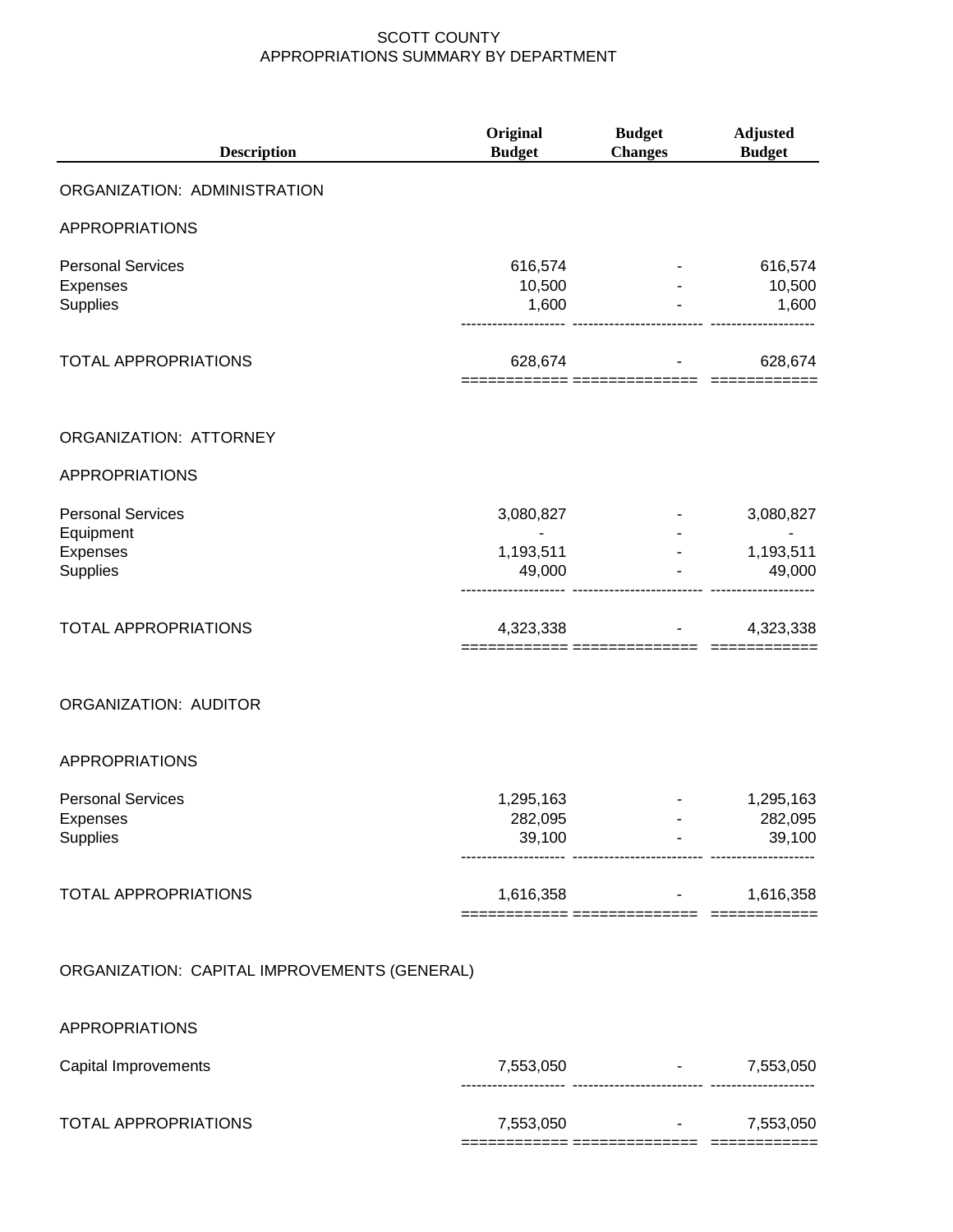| <b>Description</b>                                      | Original<br><b>Budget</b>                       | <b>Budget</b><br><b>Changes</b>    | <b>Adjusted</b><br><b>Budget</b> |
|---------------------------------------------------------|-------------------------------------------------|------------------------------------|----------------------------------|
| ORGANIZATION: ADMINISTRATION                            |                                                 |                                    |                                  |
| <b>APPROPRIATIONS</b>                                   |                                                 |                                    |                                  |
| <b>Personal Services</b><br>Expenses<br>Supplies        | 616,574<br>10,500<br>1,600                      |                                    | 616,574<br>10,500<br>1,600       |
| <b>TOTAL APPROPRIATIONS</b>                             | 628,674<br>============ =============== ======= |                                    | 628,674                          |
| ORGANIZATION: ATTORNEY                                  |                                                 |                                    |                                  |
| <b>APPROPRIATIONS</b>                                   |                                                 |                                    |                                  |
| <b>Personal Services</b><br>Equipment                   | 3,080,827<br>$\overline{\phantom{m}}$           |                                    | 3,080,827                        |
| Expenses<br>Supplies                                    | 1,193,511<br>49,000                             | $\sim 100$ km s $^{-1}$            | 1,193,511<br>49,000              |
| <b>TOTAL APPROPRIATIONS</b>                             | 4,323,338                                       |                                    | 4,323,338                        |
| ORGANIZATION: AUDITOR                                   |                                                 |                                    |                                  |
| <b>APPROPRIATIONS</b>                                   |                                                 |                                    |                                  |
| <b>Personal Services</b><br>Expenses<br><b>Supplies</b> | 1,295,163<br>282,095<br>39,100                  | ----------------------- ---------- | 1,295,163<br>282,095<br>39,100   |
| <b>TOTAL APPROPRIATIONS</b>                             | ============ =============== ========           | $1,616,358$ -                      | 1,616,358                        |
| ORGANIZATION: CAPITAL IMPROVEMENTS (GENERAL)            |                                                 |                                    |                                  |
| <b>APPROPRIATIONS</b>                                   |                                                 |                                    |                                  |
| Capital Improvements                                    | 7,553,050                                       |                                    | 7,553,050                        |
| TOTAL APPROPRIATIONS                                    | 7,553,050                                       |                                    | 7,553,050                        |

============ ============== ============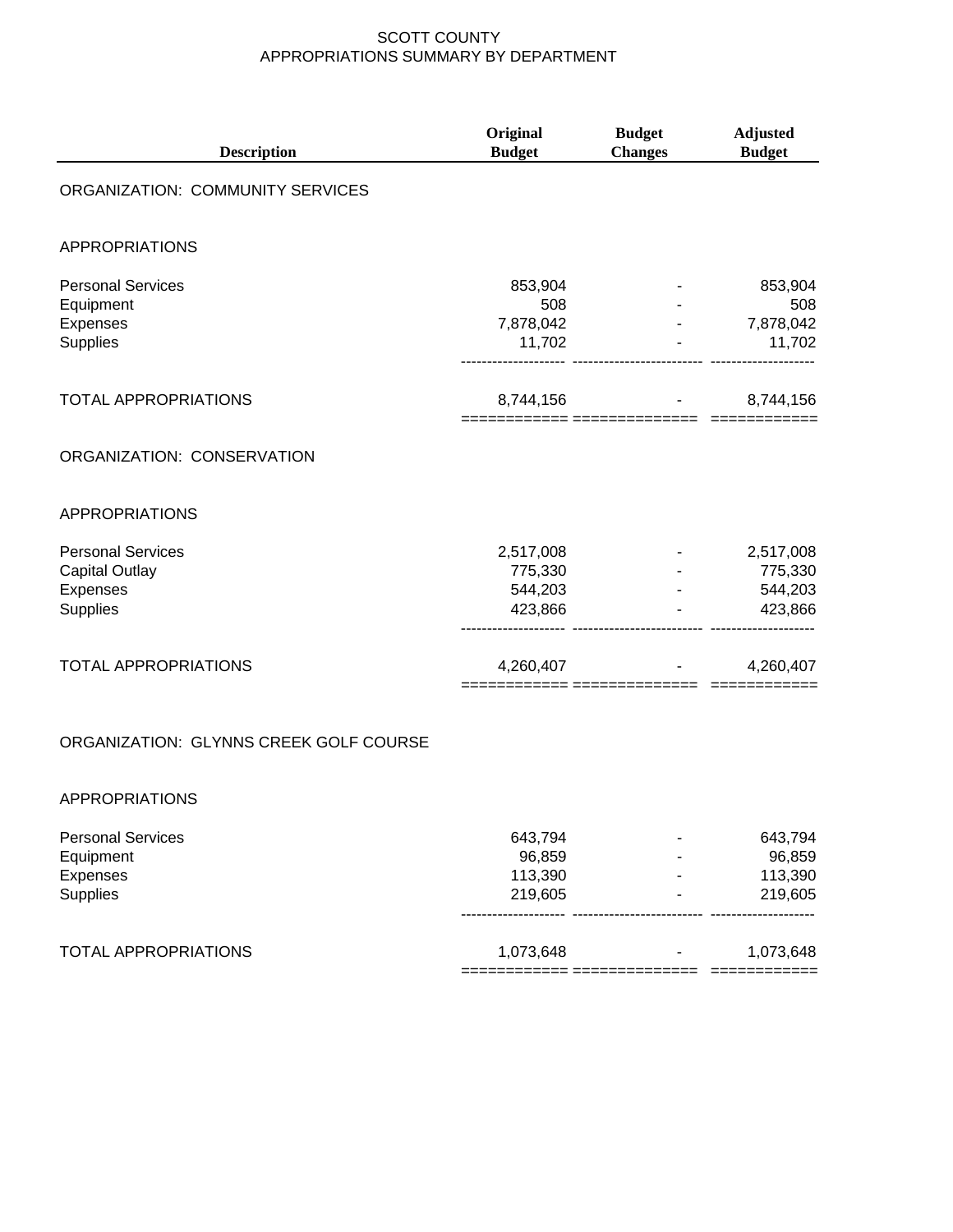| <b>Description</b>                                                               | Original<br><b>Budget</b>                  | <b>Budget</b><br><b>Changes</b> | <b>Adjusted</b><br><b>Budget</b>           |
|----------------------------------------------------------------------------------|--------------------------------------------|---------------------------------|--------------------------------------------|
| ORGANIZATION: COMMUNITY SERVICES                                                 |                                            |                                 |                                            |
| <b>APPROPRIATIONS</b>                                                            |                                            |                                 |                                            |
| <b>Personal Services</b><br>Equipment<br>Expenses<br>Supplies                    | 853,904<br>508<br>7,878,042<br>11,702      |                                 | 853,904<br>508<br>7,878,042<br>11,702      |
| <b>TOTAL APPROPRIATIONS</b>                                                      | 8,744,156                                  |                                 | 8,744,156                                  |
| ORGANIZATION: CONSERVATION                                                       |                                            |                                 |                                            |
| <b>APPROPRIATIONS</b>                                                            |                                            |                                 |                                            |
| <b>Personal Services</b><br><b>Capital Outlay</b><br>Expenses<br><b>Supplies</b> | 2,517,008<br>775,330<br>544,203<br>423,866 |                                 | 2,517,008<br>775,330<br>544,203<br>423,866 |
| <b>TOTAL APPROPRIATIONS</b>                                                      | 4,260,407<br>======= ======                |                                 | 4,260,407                                  |
|                                                                                  |                                            |                                 |                                            |

## ORGANIZATION: GLYNNS CREEK GOLF COURSE

#### APPROPRIATIONS

| <b>Personal Services</b>    | 643.794   | - | 643,794   |
|-----------------------------|-----------|---|-----------|
| Equipment                   | 96,859    | ۰ | 96,859    |
| Expenses                    | 113,390   | - | 113,390   |
| <b>Supplies</b>             | 219.605   | ٠ | 219,605   |
| <b>TOTAL APPROPRIATIONS</b> | 1,073,648 | ٠ | 1,073,648 |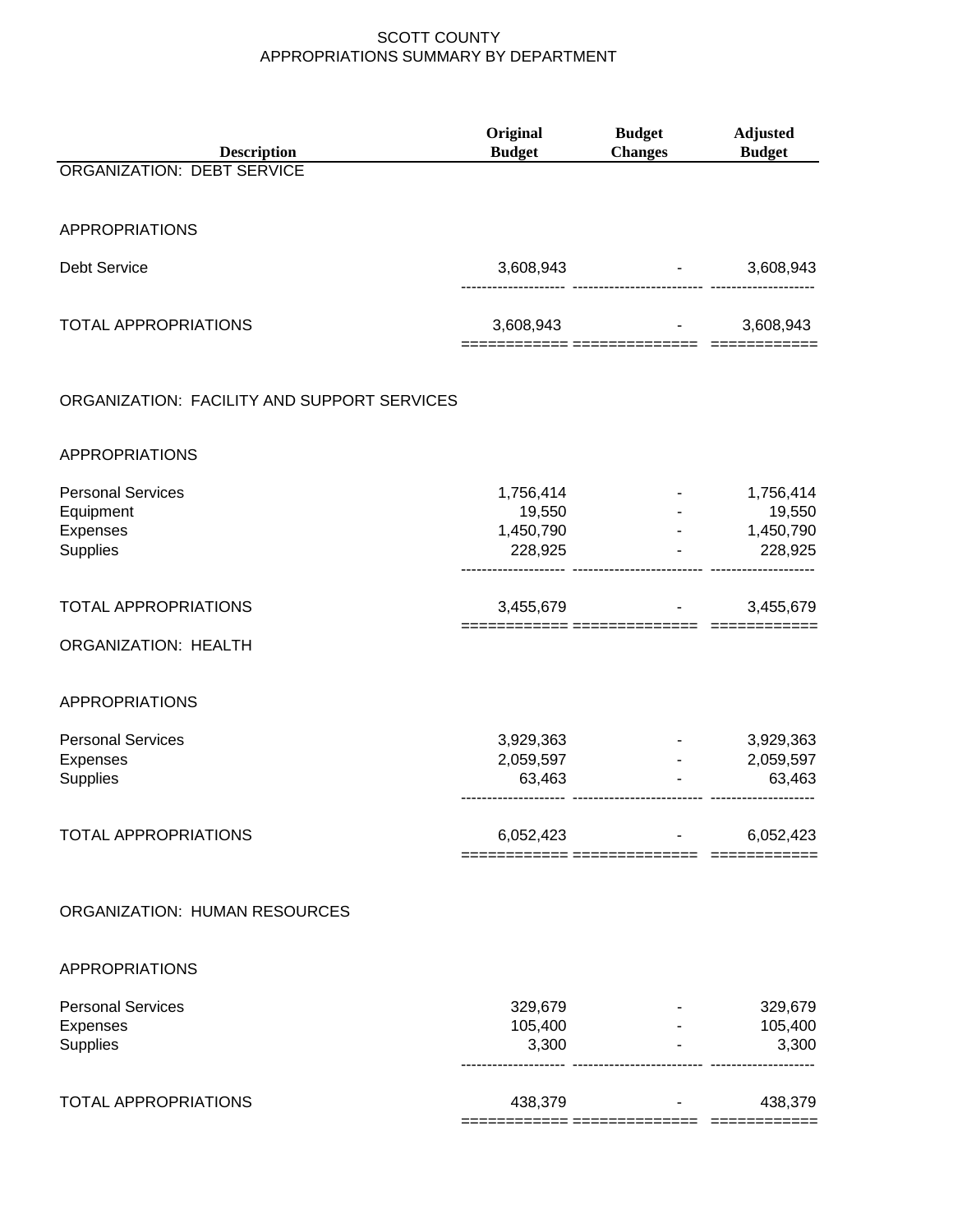| <b>Description</b>                                            | Original<br><b>Budget</b>                   | <b>Budget</b><br><b>Changes</b> | <b>Adjusted</b><br><b>Budget</b>                      |
|---------------------------------------------------------------|---------------------------------------------|---------------------------------|-------------------------------------------------------|
| <b>ORGANIZATION: DEBT SERVICE</b>                             |                                             |                                 |                                                       |
| <b>APPROPRIATIONS</b>                                         |                                             |                                 |                                                       |
| <b>Debt Service</b>                                           | 3,608,943                                   | ---------------------- -------  | 3,608,943                                             |
| <b>TOTAL APPROPRIATIONS</b>                                   |                                             | 3,608,943                       | 3,608,943                                             |
| ORGANIZATION: FACILITY AND SUPPORT SERVICES                   |                                             |                                 |                                                       |
| <b>APPROPRIATIONS</b>                                         |                                             |                                 |                                                       |
| <b>Personal Services</b><br>Equipment<br>Expenses<br>Supplies | 1,756,414<br>19,550<br>1,450,790<br>228,925 |                                 | 1,756,414<br>19,550<br>1,450,790<br>228,925           |
| <b>TOTAL APPROPRIATIONS</b>                                   | 3,455,679                                   |                                 | 3,455,679                                             |
| <b>ORGANIZATION: HEALTH</b>                                   |                                             | ======= ===============         |                                                       |
| <b>APPROPRIATIONS</b>                                         |                                             |                                 |                                                       |
| <b>Personal Services</b><br>Expenses<br>Supplies              | 3,929,363<br>2,059,597<br>63,463            | $\omega_{\rm{max}}$             | 3,929,363<br>2,059,597<br>63,463<br>----------------- |
| <b>TOTAL APPROPRIATIONS</b>                                   | 6,052,423                                   |                                 | 6,052,423                                             |
| ORGANIZATION: HUMAN RESOURCES                                 |                                             |                                 |                                                       |
| <b>APPROPRIATIONS</b>                                         |                                             |                                 |                                                       |
| <b>Personal Services</b><br>Expenses<br>Supplies              | 329,679<br>105,400<br>3,300                 |                                 | 329,679<br>105,400<br>3,300                           |
| <b>TOTAL APPROPRIATIONS</b>                                   | 438,379                                     |                                 | 438,379                                               |
|                                                               |                                             |                                 |                                                       |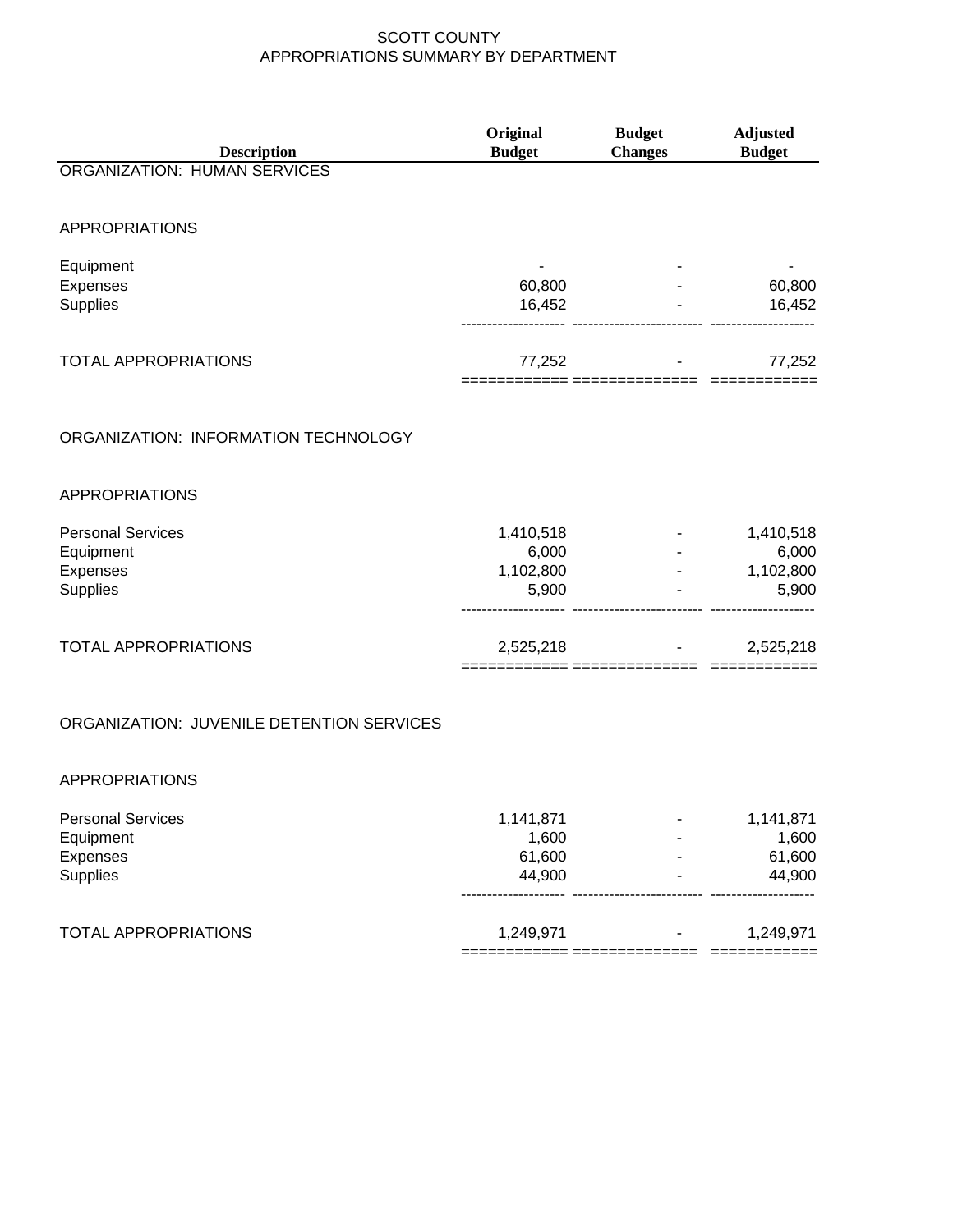| <b>Description</b>                        | Original<br><b>Budget</b> | <b>Budget</b><br><b>Changes</b> | <b>Adjusted</b><br><b>Budget</b> |
|-------------------------------------------|---------------------------|---------------------------------|----------------------------------|
| <b>ORGANIZATION: HUMAN SERVICES</b>       |                           |                                 |                                  |
|                                           |                           |                                 |                                  |
| <b>APPROPRIATIONS</b>                     |                           |                                 |                                  |
| Equipment                                 |                           |                                 |                                  |
| Expenses                                  | 60,800                    |                                 | 60,800                           |
| Supplies                                  | 16,452                    |                                 | 16,452                           |
| <b>TOTAL APPROPRIATIONS</b>               | 77,252                    |                                 | 77,252                           |
|                                           |                           | ======= ============            |                                  |
| ORGANIZATION: INFORMATION TECHNOLOGY      |                           |                                 |                                  |
| <b>APPROPRIATIONS</b>                     |                           |                                 |                                  |
| <b>Personal Services</b>                  |                           |                                 |                                  |
| Equipment                                 | 1,410,518<br>6,000        |                                 | 1,410,518<br>6,000               |
| Expenses                                  | 1,102,800                 |                                 | 1,102,800                        |
| Supplies                                  | 5,900                     |                                 | 5,900                            |
| <b>TOTAL APPROPRIATIONS</b>               | 2,525,218                 |                                 | 2,525,218                        |
|                                           |                           |                                 |                                  |
| ORGANIZATION: JUVENILE DETENTION SERVICES |                           |                                 |                                  |
| <b>APPROPRIATIONS</b>                     |                           |                                 |                                  |
| <b>Personal Services</b>                  | 1,141,871                 |                                 | 1,141,871                        |
| Equipment                                 | 1,600                     |                                 | 1,600                            |
| Expenses                                  | 61,600                    |                                 | 61,600                           |
| Supplies                                  | 44,900                    |                                 | 44,900                           |
| TOTAL APPROPRIATIONS                      | 1,249,971                 |                                 | 1,249,971                        |
|                                           | ============ ======       |                                 | ============                     |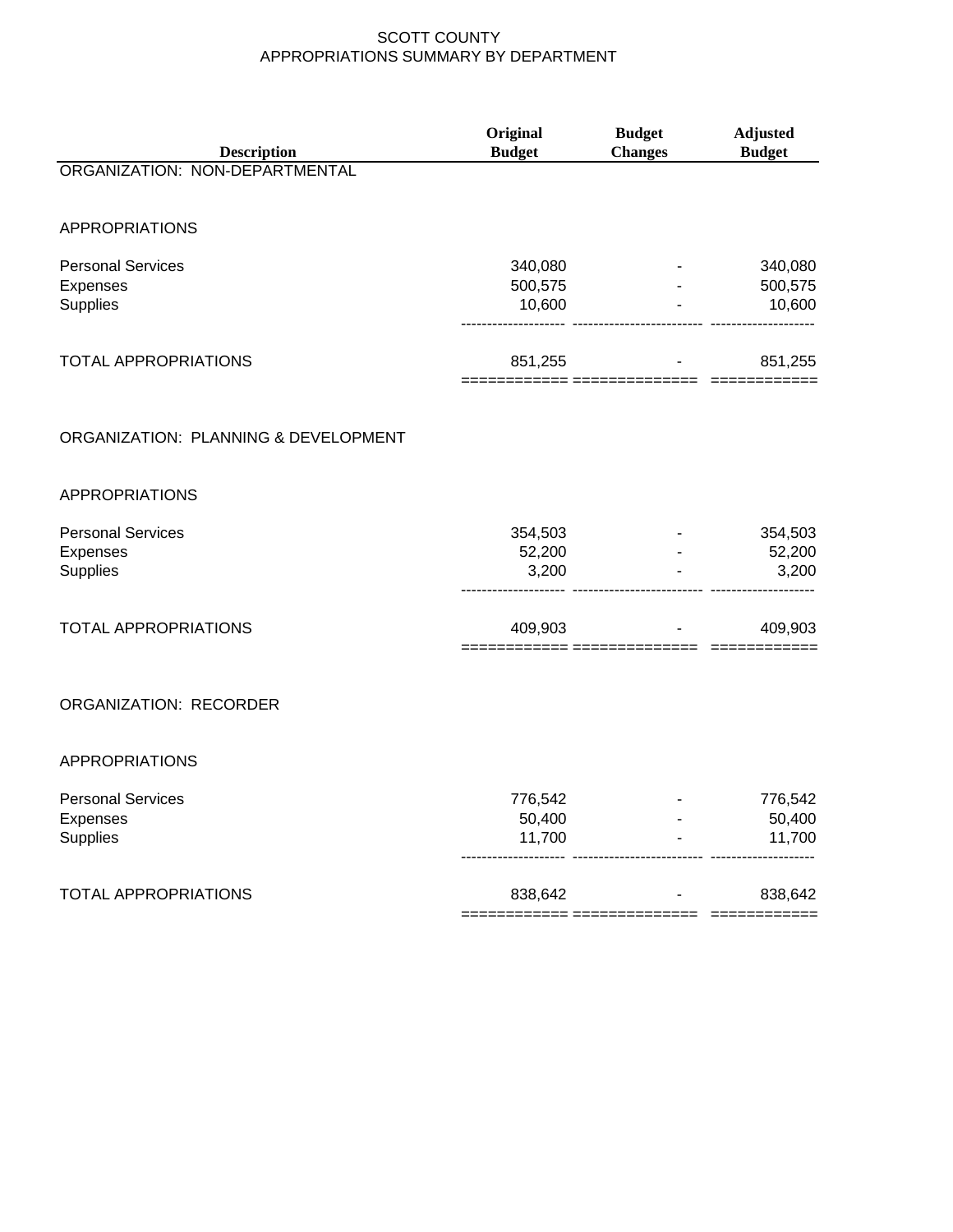| <b>Description</b>                                      | Original<br><b>Budget</b>                                          | <b>Budget</b><br><b>Changes</b> | Adjusted<br><b>Budget</b>    |
|---------------------------------------------------------|--------------------------------------------------------------------|---------------------------------|------------------------------|
| ORGANIZATION: NON-DEPARTMENTAL                          |                                                                    |                                 |                              |
| <b>APPROPRIATIONS</b>                                   |                                                                    |                                 |                              |
| <b>Personal Services</b><br>Expenses<br>Supplies        | 340,080<br>500,575<br>10,600<br>-------------- ------------------- |                                 | 340,080<br>500,575<br>10,600 |
| <b>TOTAL APPROPRIATIONS</b>                             | 851,255                                                            | $\blacksquare$                  | 851,255                      |
| ORGANIZATION: PLANNING & DEVELOPMENT                    |                                                                    |                                 |                              |
| <b>APPROPRIATIONS</b>                                   |                                                                    |                                 |                              |
| <b>Personal Services</b><br>Expenses<br><b>Supplies</b> | 354,503<br>52,200<br>3,200                                         |                                 | 354,503<br>52,200<br>3,200   |
| <b>TOTAL APPROPRIATIONS</b>                             | 409,903                                                            |                                 | 409,903                      |
| ORGANIZATION: RECORDER                                  |                                                                    |                                 |                              |
| <b>APPROPRIATIONS</b>                                   |                                                                    |                                 |                              |
| <b>Personal Services</b><br>Expenses<br>Supplies        | 776,542<br>50,400<br>11,700                                        |                                 | 776,542<br>50,400<br>11,700  |
| <b>TOTAL APPROPRIATIONS</b>                             | 838,642                                                            |                                 | 838,642                      |

============ ============== ============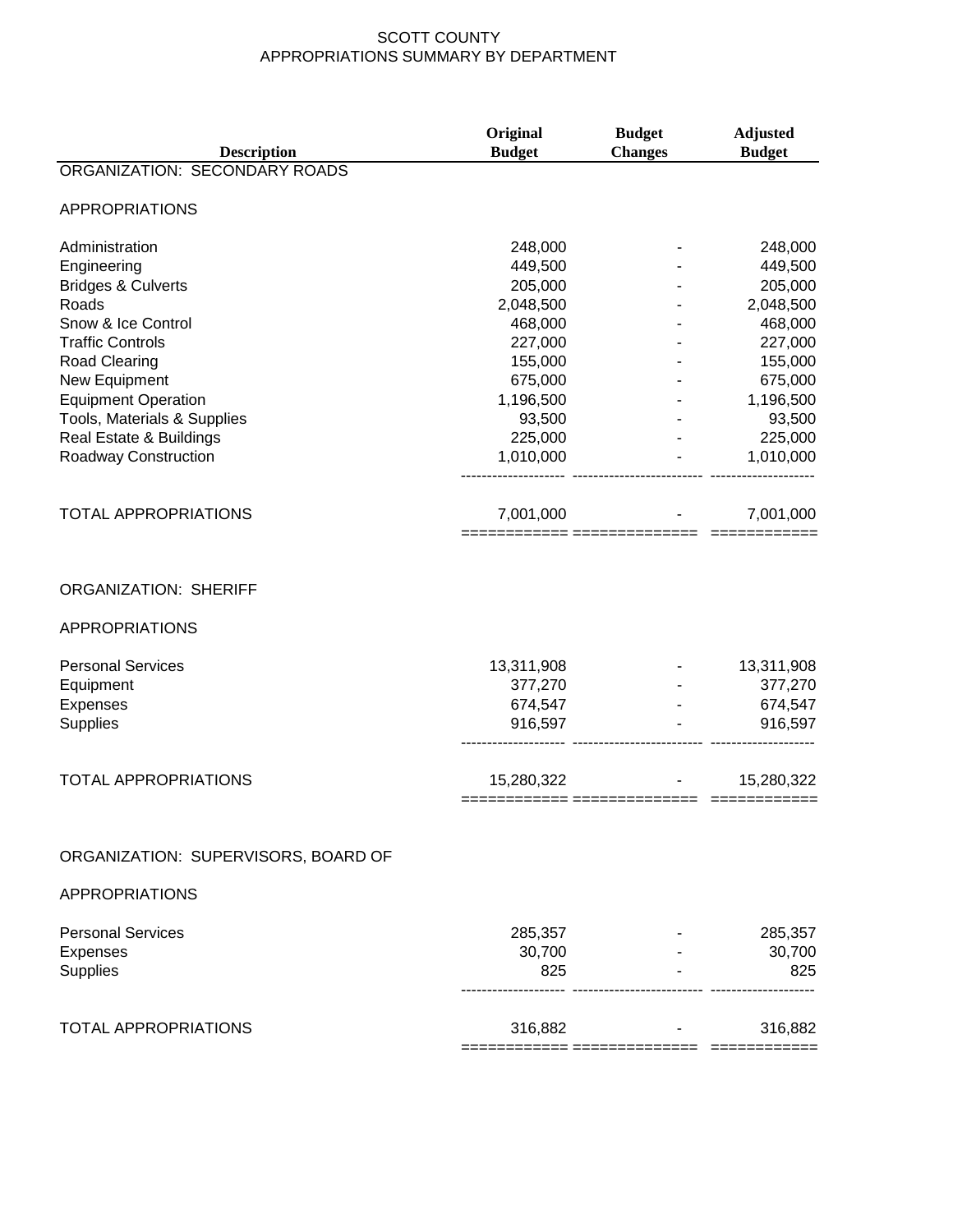| <b>Description</b>                                    | Original<br><b>Budget</b> | <b>Budget</b><br><b>Changes</b> | <b>Adjusted</b><br><b>Budget</b> |
|-------------------------------------------------------|---------------------------|---------------------------------|----------------------------------|
| ORGANIZATION: SECONDARY ROADS                         |                           |                                 |                                  |
| <b>APPROPRIATIONS</b>                                 |                           |                                 |                                  |
| Administration                                        | 248,000                   |                                 | 248,000                          |
| Engineering                                           | 449,500                   |                                 | 449,500                          |
| <b>Bridges &amp; Culverts</b>                         | 205,000                   |                                 | 205,000                          |
| Roads                                                 | 2,048,500                 |                                 | 2,048,500                        |
| Snow & Ice Control                                    | 468,000                   |                                 | 468,000                          |
| <b>Traffic Controls</b>                               | 227,000                   |                                 | 227,000                          |
| <b>Road Clearing</b>                                  | 155,000                   |                                 | 155,000                          |
| New Equipment                                         | 675,000                   |                                 | 675,000                          |
| <b>Equipment Operation</b>                            | 1,196,500                 |                                 | 1,196,500                        |
| Tools, Materials & Supplies                           | 93,500                    |                                 | 93,500                           |
| Real Estate & Buildings                               | 225,000                   |                                 | 225,000                          |
| Roadway Construction                                  | 1,010,000                 |                                 | 1,010,000                        |
|                                                       |                           |                                 |                                  |
| <b>TOTAL APPROPRIATIONS</b>                           | 7,001,000                 |                                 | 7,001,000                        |
| <b>ORGANIZATION: SHERIFF</b><br><b>APPROPRIATIONS</b> |                           |                                 |                                  |
| <b>Personal Services</b>                              | 13,311,908                |                                 | 13,311,908                       |
| Equipment                                             | 377,270                   |                                 | 377,270                          |
| Expenses                                              | 674,547                   |                                 | 674,547                          |
| Supplies                                              | 916,597                   |                                 | 916,597                          |
| <b>TOTAL APPROPRIATIONS</b>                           | 15,280,322                |                                 | 15,280,322                       |
| ORGANIZATION: SUPERVISORS, BOARD OF                   |                           |                                 |                                  |
| <b>APPROPRIATIONS</b>                                 |                           |                                 |                                  |
|                                                       |                           |                                 |                                  |
| <b>Personal Services</b>                              | 285,357                   |                                 | 285,357                          |
| Expenses                                              | 30,700                    |                                 | 30,700                           |
| <b>Supplies</b>                                       | 825                       |                                 | 825                              |
| <b>TOTAL APPROPRIATIONS</b>                           | 316,882                   |                                 | 316,882                          |
|                                                       |                           |                                 |                                  |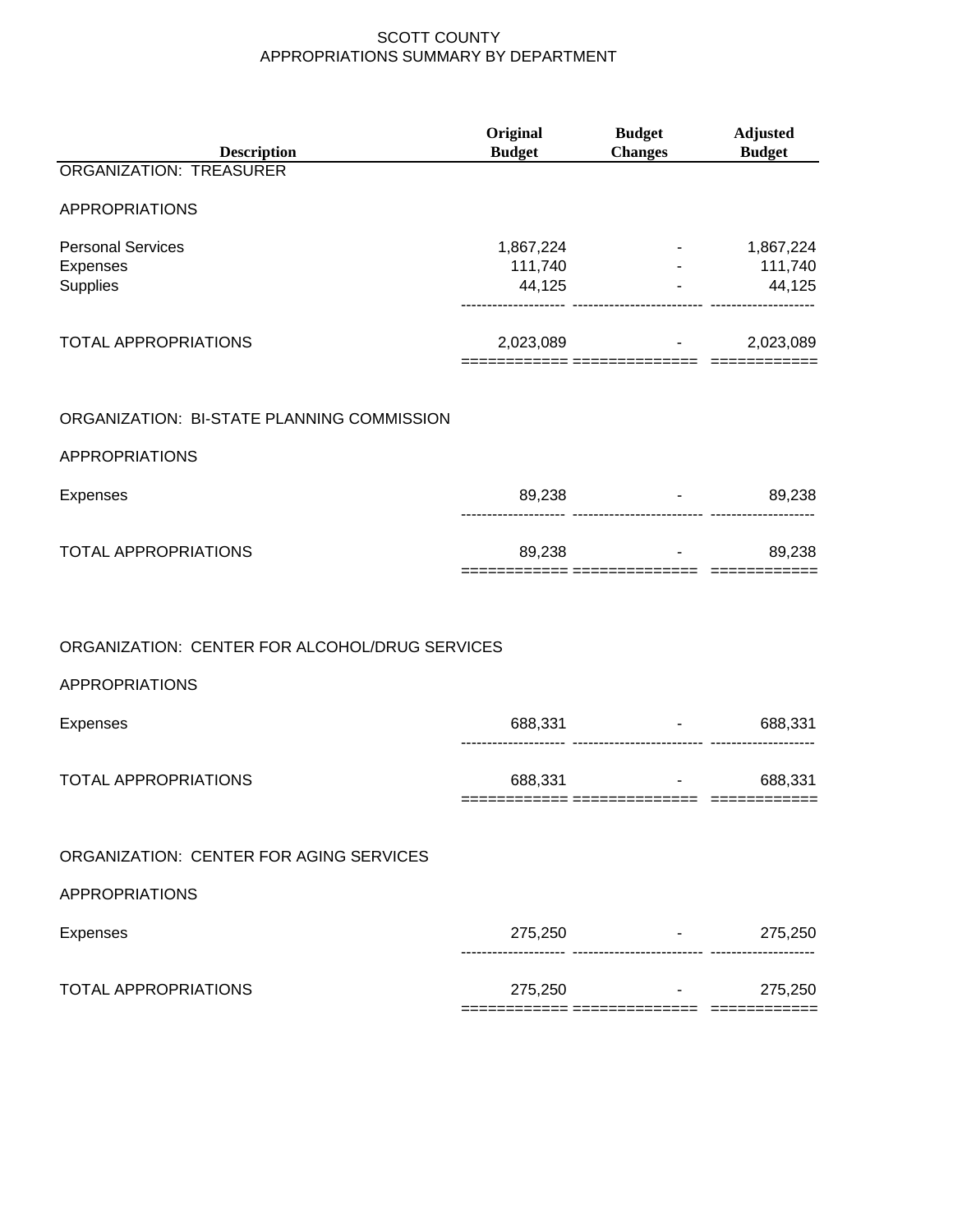| <b>Description</b>                             | Original<br><b>Budget</b> | <b>Budget</b><br>Changes Budget                   | <b>Adjusted</b>   |
|------------------------------------------------|---------------------------|---------------------------------------------------|-------------------|
| ORGANIZATION: TREASURER                        |                           |                                                   |                   |
| <b>APPROPRIATIONS</b>                          |                           |                                                   |                   |
| <b>Personal Services</b><br>Expenses           |                           | 1,867,224<br>111,740 - 111,740<br>44,125 - 44,125 | $-1,867,224$      |
| Supplies                                       |                           |                                                   |                   |
| <b>TOTAL APPROPRIATIONS</b>                    |                           | 2,023,089 - 2,023,089                             |                   |
| ORGANIZATION: BI-STATE PLANNING COMMISSION     |                           |                                                   |                   |
| <b>APPROPRIATIONS</b>                          |                           |                                                   |                   |
| Expenses                                       |                           | 89,238 - 89,238                                   |                   |
| <b>TOTAL APPROPRIATIONS</b>                    |                           | 89,238 - 1                                        | 89,238            |
|                                                |                           |                                                   |                   |
| ORGANIZATION: CENTER FOR ALCOHOL/DRUG SERVICES |                           |                                                   |                   |
| <b>APPROPRIATIONS</b>                          |                           |                                                   |                   |
| Expenses                                       |                           | 688,331 - 1<br>                                   | 688,331           |
| <b>TOTAL APPROPRIATIONS</b>                    | 688,331                   | ============ =============== ========             | 688,331           |
|                                                |                           |                                                   |                   |
| ORGANIZATION: CENTER FOR AGING SERVICES        |                           |                                                   |                   |
| <b>APPROPRIATIONS</b>                          |                           |                                                   |                   |
| <b>Expenses</b>                                |                           | $275,250$ -                                       | 275,250           |
| <b>TOTAL APPROPRIATIONS</b>                    |                           | $275,250$ -<br>========== ===============         | 275,250<br>—————— |
|                                                |                           |                                                   |                   |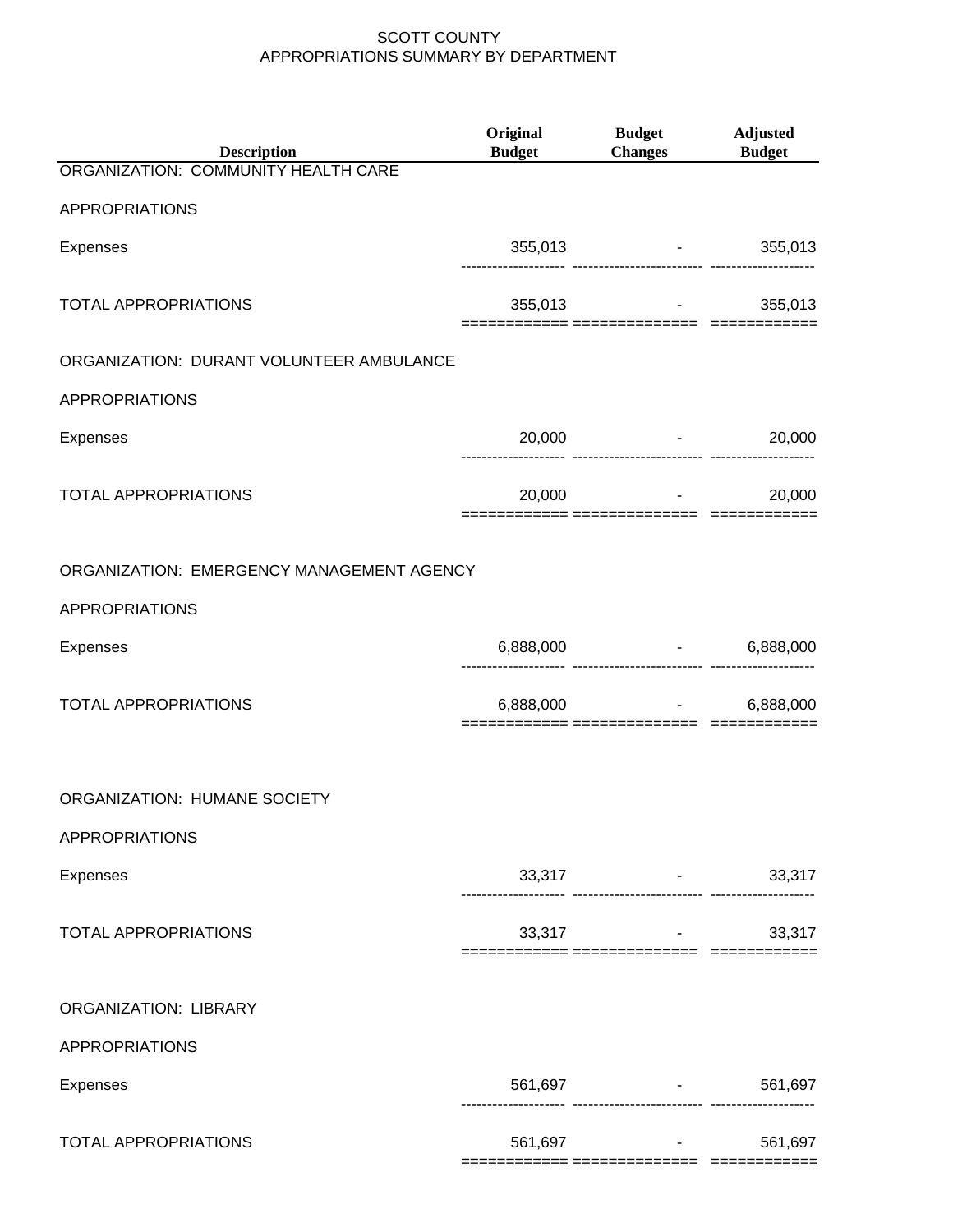| <b>Description</b>                        | <b>Original</b><br><b>Budget</b> | <b>Budget</b><br>Changes Budget                       | <b>Adjusted</b> |
|-------------------------------------------|----------------------------------|-------------------------------------------------------|-----------------|
| ORGANIZATION: COMMUNITY HEALTH CARE       |                                  |                                                       |                 |
| APPROPRIATIONS                            |                                  |                                                       |                 |
| <b>Expenses</b>                           |                                  | 355,013 - 355,013                                     |                 |
| <b>TOTAL APPROPRIATIONS</b>               |                                  | $355,013$ -                                           | 355,013         |
| ORGANIZATION: DURANT VOLUNTEER AMBULANCE  |                                  |                                                       |                 |
| <b>APPROPRIATIONS</b>                     |                                  |                                                       |                 |
| Expenses                                  |                                  | $20,000$ -                                            | 20,000          |
| <b>TOTAL APPROPRIATIONS</b>               |                                  | $20,000$ -                                            | 20,000          |
| ORGANIZATION: EMERGENCY MANAGEMENT AGENCY |                                  |                                                       |                 |
| <b>APPROPRIATIONS</b>                     |                                  |                                                       |                 |
| Expenses                                  |                                  | $6,888,000$ -<br>------------------------- ------     | 6,888,000       |
| <b>TOTAL APPROPRIATIONS</b>               |                                  | $6,888,000$ -                                         | 6,888,000       |
| ORGANIZATION: HUMANE SOCIETY              |                                  |                                                       |                 |
| <b>APPROPRIATIONS</b>                     |                                  |                                                       |                 |
| Expenses                                  |                                  | $33,317$ -<br>------------------------- ---------     | 33,317          |
| <b>TOTAL APPROPRIATIONS</b>               |                                  | $33,317$ -<br>============ =============== ========   | 33,317          |
| ORGANIZATION: LIBRARY                     |                                  |                                                       |                 |
| APPROPRIATIONS                            |                                  |                                                       |                 |
| Expenses                                  |                                  | 561,697 - 561,697<br>----------------------- -------- |                 |
| <b>TOTAL APPROPRIATIONS</b>               | 561,697                          | == =============== ======                             | 561,697         |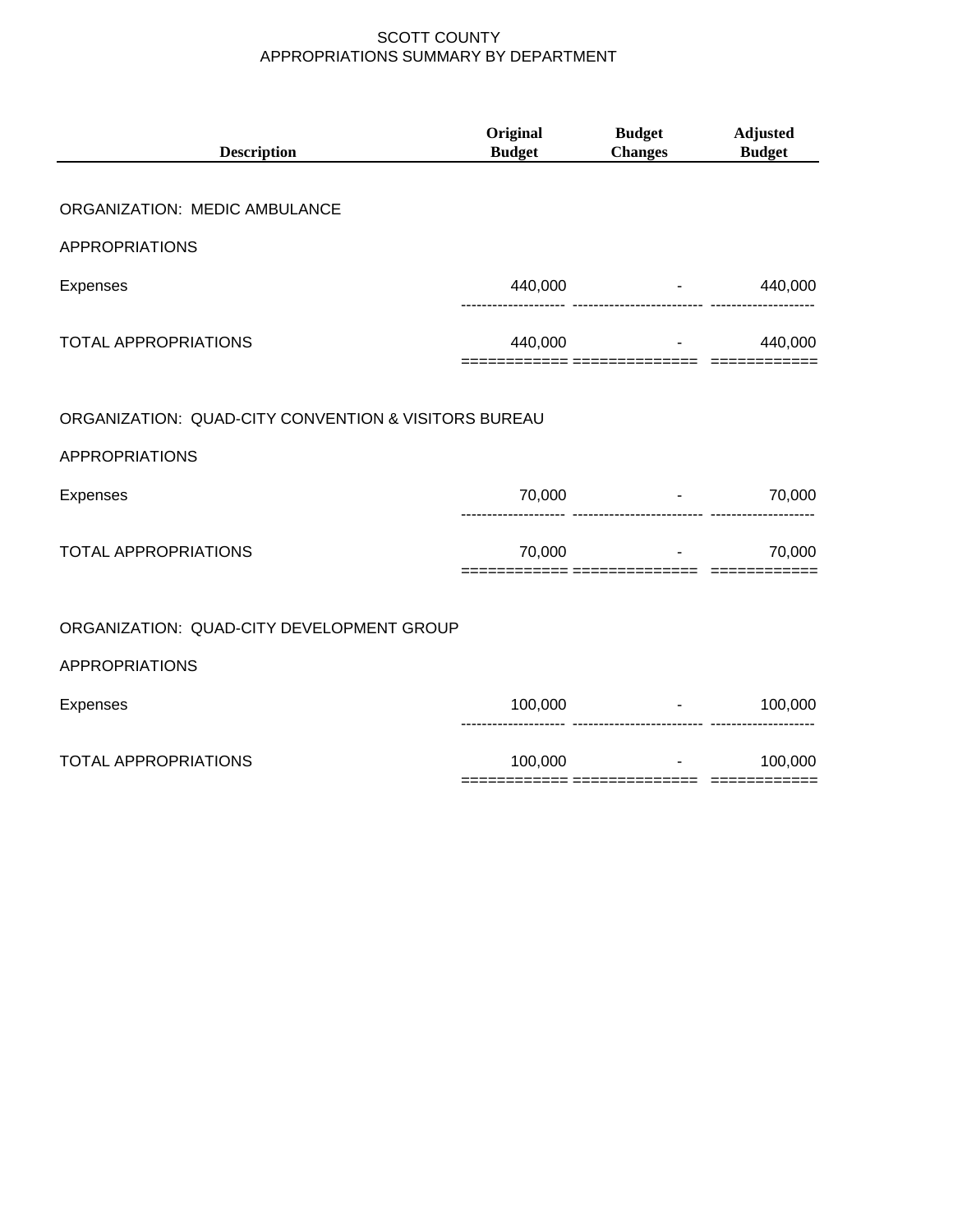| <b>Description</b>                                                            | Original<br><b>Budget</b> | <b>Budget</b><br><b>Changes</b>   | <b>Adjusted</b><br><b>Budget</b> |
|-------------------------------------------------------------------------------|---------------------------|-----------------------------------|----------------------------------|
| ORGANIZATION: MEDIC AMBULANCE                                                 |                           |                                   |                                  |
| <b>APPROPRIATIONS</b>                                                         |                           |                                   |                                  |
| Expenses                                                                      |                           | 440,000 - 1                       | 440,000                          |
| <b>TOTAL APPROPRIATIONS</b>                                                   |                           | 440,000                           | 440,000                          |
| ORGANIZATION: QUAD-CITY CONVENTION & VISITORS BUREAU<br><b>APPROPRIATIONS</b> |                           |                                   |                                  |
| Expenses                                                                      | 70,000                    |                                   | 70,000                           |
| <b>TOTAL APPROPRIATIONS</b>                                                   | 70,000                    | and the contract of the con-      | 70,000                           |
| ORGANIZATION: QUAD-CITY DEVELOPMENT GROUP                                     |                           |                                   |                                  |
| <b>APPROPRIATIONS</b>                                                         |                           |                                   |                                  |
| <b>Expenses</b>                                                               |                           | 100,000                           | $-100,000$                       |
| <b>TOTAL APPROPRIATIONS</b>                                                   | 100,000                   | the control of the control of the | 100,000                          |
|                                                                               |                           |                                   |                                  |